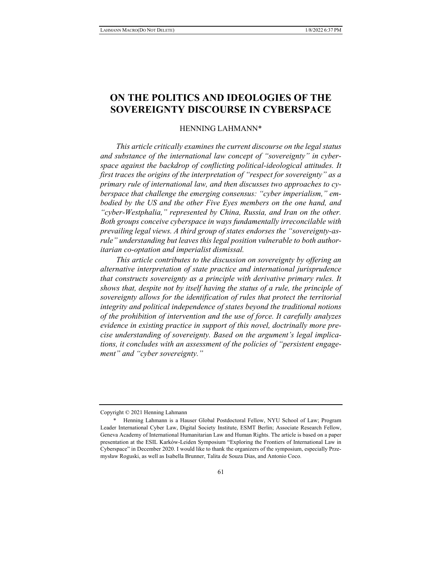# **ON THE POLITICS AND IDEOLOGIES OF THE SOVEREIGNTY DISCOURSE IN CYBERSPACE**

# HENNING LAHMANN\*

*This article critically examines the current discourse on the legal status and substance of the international law concept of "sovereignty" in cyberspace against the backdrop of conflicting political-ideological attitudes. It first traces the origins of the interpretation of "respect for sovereignty" as a primary rule of international law, and then discusses two approaches to cyberspace that challenge the emerging consensus: "cyber imperialism," embodied by the US and the other Five Eyes members on the one hand, and "cyber-Westphalia," represented by China, Russia, and Iran on the other. Both groups conceive cyberspace in ways fundamentally irreconcilable with prevailing legal views. A third group of states endorses the "sovereignty-asrule" understanding but leaves this legal position vulnerable to both authoritarian co-optation and imperialist dismissal.* 

*This article contributes to the discussion on sovereignty by offering an alternative interpretation of state practice and international jurisprudence that constructs sovereignty as a principle with derivative primary rules. It shows that, despite not by itself having the status of a rule, the principle of sovereignty allows for the identification of rules that protect the territorial integrity and political independence of states beyond the traditional notions of the prohibition of intervention and the use of force. It carefully analyzes evidence in existing practice in support of this novel, doctrinally more precise understanding of sovereignty. Based on the argument's legal implications, it concludes with an assessment of the policies of "persistent engagement" and "cyber sovereignty."* 

Copyright © 2021 Henning Lahmann

 <sup>\*</sup> Henning Lahmann is a Hauser Global Postdoctoral Fellow, NYU School of Law; Program Leader International Cyber Law, Digital Society Institute, ESMT Berlin; Associate Research Fellow, Geneva Academy of International Humanitarian Law and Human Rights. The article is based on a paper presentation at the ESIL Karków-Leiden Symposium "Exploring the Frontiers of International Law in Cyberspace" in December 2020. I would like to thank the organizers of the symposium, especially Przemysław Roguski, as well as Isabella Brunner, Talita de Souza Dias, and Antonio Coco.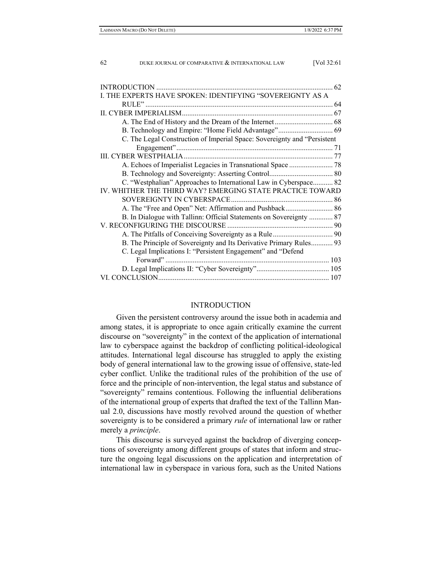| THE EXPERTS HAVE SPOKEN: IDENTIFYING "SOVEREIGNTY AS A                   |
|--------------------------------------------------------------------------|
|                                                                          |
| 67                                                                       |
|                                                                          |
| B. Technology and Empire: "Home Field Advantage" 69                      |
| C. The Legal Construction of Imperial Space: Sovereignty and "Persistent |
|                                                                          |
|                                                                          |
|                                                                          |
|                                                                          |
| C. "Westphalian" Approaches to International Law in Cyberspace 82        |
| IV. WHITHER THE THIRD WAY? EMERGING STATE PRACTICE TOWARD                |
|                                                                          |
| A. The "Free and Open" Net: Affirmation and Pushback 86                  |
| B. In Dialogue with Tallinn: Official Statements on Sovereignty  87      |
|                                                                          |
|                                                                          |
| B. The Principle of Sovereignty and Its Derivative Primary Rules 93      |
| C. Legal Implications I: "Persistent Engagement" and "Defend             |
|                                                                          |
|                                                                          |
|                                                                          |

#### INTRODUCTION

Given the persistent controversy around the issue both in academia and among states, it is appropriate to once again critically examine the current discourse on "sovereignty" in the context of the application of international law to cyberspace against the backdrop of conflicting political-ideological attitudes. International legal discourse has struggled to apply the existing body of general international law to the growing issue of offensive, state-led cyber conflict. Unlike the traditional rules of the prohibition of the use of force and the principle of non-intervention, the legal status and substance of "sovereignty" remains contentious. Following the influential deliberations of the international group of experts that drafted the text of the Tallinn Manual 2.0, discussions have mostly revolved around the question of whether sovereignty is to be considered a primary *rule* of international law or rather merely a *principle*.

This discourse is surveyed against the backdrop of diverging conceptions of sovereignty among different groups of states that inform and structure the ongoing legal discussions on the application and interpretation of international law in cyberspace in various fora, such as the United Nations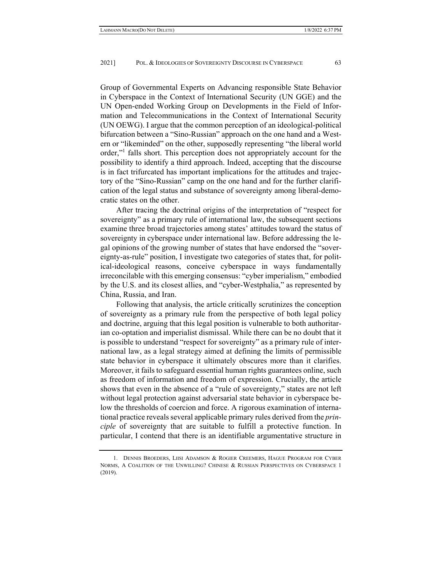Group of Governmental Experts on Advancing responsible State Behavior in Cyberspace in the Context of International Security (UN GGE) and the UN Open-ended Working Group on Developments in the Field of Information and Telecommunications in the Context of International Security (UN OEWG). I argue that the common perception of an ideological-political bifurcation between a "Sino-Russian" approach on the one hand and a Western or "likeminded" on the other, supposedly representing "the liberal world order,"<sup>1</sup> falls short. This perception does not appropriately account for the possibility to identify a third approach. Indeed, accepting that the discourse is in fact trifurcated has important implications for the attitudes and trajectory of the "Sino-Russian" camp on the one hand and for the further clarification of the legal status and substance of sovereignty among liberal-democratic states on the other.

After tracing the doctrinal origins of the interpretation of "respect for sovereignty" as a primary rule of international law, the subsequent sections examine three broad trajectories among states' attitudes toward the status of sovereignty in cyberspace under international law. Before addressing the legal opinions of the growing number of states that have endorsed the "sovereignty-as-rule" position, I investigate two categories of states that, for political-ideological reasons, conceive cyberspace in ways fundamentally irreconcilable with this emerging consensus: "cyber imperialism," embodied by the U.S. and its closest allies, and "cyber-Westphalia," as represented by China, Russia, and Iran.

Following that analysis, the article critically scrutinizes the conception of sovereignty as a primary rule from the perspective of both legal policy and doctrine, arguing that this legal position is vulnerable to both authoritarian co-optation and imperialist dismissal. While there can be no doubt that it is possible to understand "respect for sovereignty" as a primary rule of international law, as a legal strategy aimed at defining the limits of permissible state behavior in cyberspace it ultimately obscures more than it clarifies. Moreover, it fails to safeguard essential human rights guarantees online, such as freedom of information and freedom of expression. Crucially, the article shows that even in the absence of a "rule of sovereignty," states are not left without legal protection against adversarial state behavior in cyberspace below the thresholds of coercion and force. A rigorous examination of international practice reveals several applicable primary rules derived from the *principle* of sovereignty that are suitable to fulfill a protective function. In particular, I contend that there is an identifiable argumentative structure in

 <sup>1.</sup> DENNIS BROEDERS, LIISI ADAMSON & ROGIER CREEMERS, HAGUE PROGRAM FOR CYBER NORMS, A COALITION OF THE UNWILLING? CHINESE & RUSSIAN PERSPECTIVES ON CYBERSPACE 1 (2019).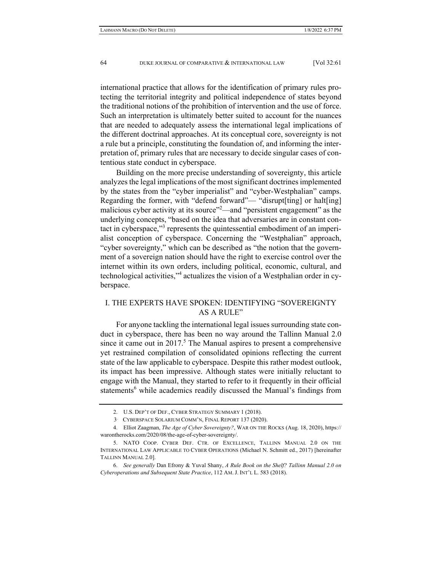international practice that allows for the identification of primary rules protecting the territorial integrity and political independence of states beyond the traditional notions of the prohibition of intervention and the use of force. Such an interpretation is ultimately better suited to account for the nuances that are needed to adequately assess the international legal implications of the different doctrinal approaches. At its conceptual core, sovereignty is not a rule but a principle, constituting the foundation of, and informing the interpretation of, primary rules that are necessary to decide singular cases of contentious state conduct in cyberspace.

Building on the more precise understanding of sovereignty, this article analyzes the legal implications of the most significant doctrines implemented by the states from the "cyber imperialist" and "cyber-Westphalian" camps. Regarding the former, with "defend forward"— "disrupt[ting] or halt[ing] malicious cyber activity at its source<sup>"2</sup>—and "persistent engagement" as the underlying concepts, "based on the idea that adversaries are in constant contact in cyberspace,"<sup>3</sup> represents the quintessential embodiment of an imperialist conception of cyberspace. Concerning the "Westphalian" approach, "cyber sovereignty," which can be described as "the notion that the government of a sovereign nation should have the right to exercise control over the internet within its own orders, including political, economic, cultural, and technological activities,"<sup>4</sup> actualizes the vision of a Westphalian order in cyberspace.

# I. THE EXPERTS HAVE SPOKEN: IDENTIFYING "SOVEREIGNTY AS A RULE"

For anyone tackling the international legal issues surrounding state conduct in cyberspace, there has been no way around the Tallinn Manual 2.0 since it came out in  $2017$ <sup>5</sup>. The Manual aspires to present a comprehensive yet restrained compilation of consolidated opinions reflecting the current state of the law applicable to cyberspace. Despite this rather modest outlook, its impact has been impressive. Although states were initially reluctant to engage with the Manual, they started to refer to it frequently in their official statements<sup>6</sup> while academics readily discussed the Manual's findings from

 <sup>2.</sup> U.S. DEP'T OF DEF., CYBER STRATEGY SUMMARY 1 (2018).

<sup>3.</sup> CYBERSPACE SOLARIUM COMM'N, FINAL REPORT 137 (2020).

 <sup>4.</sup> Elliot Zaagman, *The Age of Cyber Sovereignty?*, WAR ON THE ROCKS (Aug. 18, 2020), https:// warontherocks.com/2020/08/the-age-of-cyber-sovereignty/.

 <sup>5.</sup> NATO COOP. CYBER DEF. CTR. OF EXCELLENCE, TALLINN MANUAL 2.0 ON THE INTERNATIONAL LAW APPLICABLE TO CYBER OPERATIONS (Michael N. Schmitt ed., 2017) [hereinafter TALLINN MANUAL 2.0].

 <sup>6.</sup> *See generally* Dan Efrony & Yuval Shany, *A Rule Book on the Shelf? Tallinn Manual 2.0 on Cyberoperations and Subsequent State Practice*, 112 AM. J. INT'L L. 583 (2018).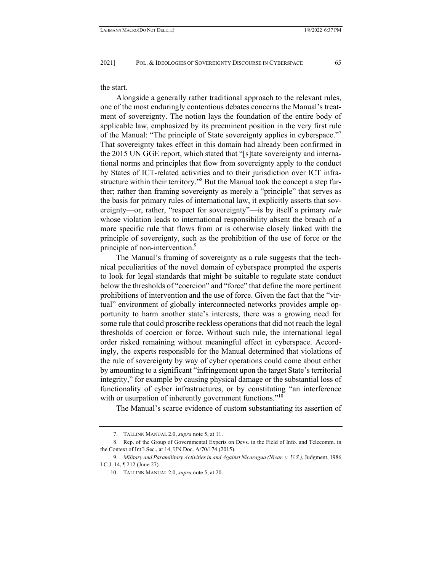the start.

Alongside a generally rather traditional approach to the relevant rules, one of the most enduringly contentious debates concerns the Manual's treatment of sovereignty. The notion lays the foundation of the entire body of applicable law, emphasized by its preeminent position in the very first rule of the Manual: "The principle of State sovereignty applies in cyberspace." That sovereignty takes effect in this domain had already been confirmed in the 2015 UN GGE report, which stated that "[s]tate sovereignty and international norms and principles that flow from sovereignty apply to the conduct by States of ICT-related activities and to their jurisdiction over ICT infrastructure within their territory."<sup>8</sup> But the Manual took the concept a step further; rather than framing sovereignty as merely a "principle" that serves as the basis for primary rules of international law, it explicitly asserts that sovereignty—or, rather, "respect for sovereignty"—is by itself a primary *rule*  whose violation leads to international responsibility absent the breach of a more specific rule that flows from or is otherwise closely linked with the principle of sovereignty, such as the prohibition of the use of force or the principle of non-intervention.<sup>9</sup>

The Manual's framing of sovereignty as a rule suggests that the technical peculiarities of the novel domain of cyberspace prompted the experts to look for legal standards that might be suitable to regulate state conduct below the thresholds of "coercion" and "force" that define the more pertinent prohibitions of intervention and the use of force. Given the fact that the "virtual" environment of globally interconnected networks provides ample opportunity to harm another state's interests, there was a growing need for some rule that could proscribe reckless operations that did not reach the legal thresholds of coercion or force. Without such rule, the international legal order risked remaining without meaningful effect in cyberspace. Accordingly, the experts responsible for the Manual determined that violations of the rule of sovereignty by way of cyber operations could come about either by amounting to a significant "infringement upon the target State's territorial integrity," for example by causing physical damage or the substantial loss of functionality of cyber infrastructures, or by constituting "an interference with or usurpation of inherently government functions."<sup>10</sup>

The Manual's scarce evidence of custom substantiating its assertion of

 <sup>7.</sup> TALLINN MANUAL 2.0, *supra* note 5, at 11.

 <sup>8.</sup> Rep. of the Group of Governmental Experts on Devs. in the Field of Info. and Telecomm. in the Context of Int'l Sec., at 14, UN Doc. A/70/174 (2015).

 <sup>9.</sup> *Military and Paramilitary Activities in and Against Nicaragua (Nicar. v. U.S.)*, Judgment, 1986 I.C.J. 14, ¶ 212 (June 27).

 <sup>10.</sup> TALLINN MANUAL 2.0, *supra* note 5, at 20.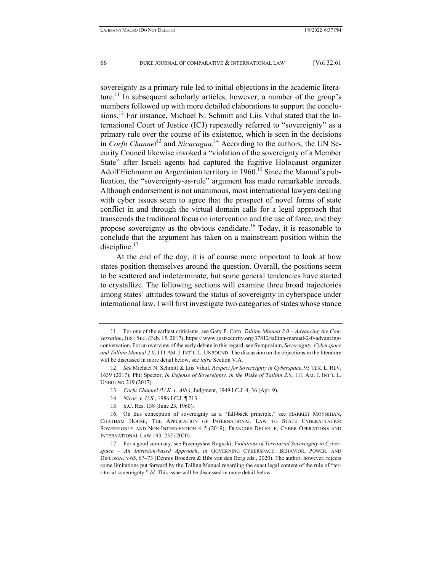sovereignty as a primary rule led to initial objections in the academic literature.<sup>11</sup> In subsequent scholarly articles, however, a number of the group's members followed up with more detailed elaborations to support the conclusions.<sup>12</sup> For instance, Michael N. Schmitt and Liis Vihul stated that the International Court of Justice (ICJ) repeatedly referred to "sovereignty" as a primary rule over the course of its existence, which is seen in the decisions in *Corfu Channel*<sup>13</sup> and *Nicaragua*.<sup>14</sup> According to the authors, the UN Security Council likewise invoked a "violation of the sovereignty of a Member State" after Israeli agents had captured the fugitive Holocaust organizer Adolf Eichmann on Argentinian territory in 1960.<sup>15</sup> Since the Manual's publication, the "sovereignty-as-rule" argument has made remarkable inroads. Although endorsement is not unanimous, most international lawyers dealing with cyber issues seem to agree that the prospect of novel forms of state conflict in and through the virtual domain calls for a legal approach that transcends the traditional focus on intervention and the use of force, and they propose sovereignty as the obvious candidate.<sup>16</sup> Today, it is reasonable to conclude that the argument has taken on a mainstream position within the discipline. $17$ 

At the end of the day, it is of course more important to look at how states position themselves around the question. Overall, the positions seem to be scattered and indeterminate, but some general tendencies have started to crystallize. The following sections will examine three broad trajectories among states' attitudes toward the status of sovereignty in cyberspace under international law. I will first investigate two categories of states whose stance

- 14. *Nicar. v. U.S.*, 1986 I.C.J. ¶ 213.
- 15. S.C. Res. 138 (June 23, 1960).

 <sup>11.</sup> For one of the earliest criticisms, see Gary P. Corn, *Tallinn Manual 2.0 – Advancing the Conversation*, JUST SEC. (Feb. 15, 2017), https:// www.justsecurity.org/37812/tallinn-manual-2-0-advancingconversation. For an overview of the early debate in this regard, see Symposium, *Sovereignty, Cyberspace and Tallinn Manual 2.0*, 111 AM.J. INT'L. L. UNBOUND. The discussion on the objections in the literature will be discussed in more detail below, see *infra* Section V.A.

 <sup>12.</sup> *See* Michael N. Schmitt & Liis Vihul, *Respect for Sovereignty in Cyberspace*, 95 TEX. L. REV. 1639 (2017); Phil Spector, *In Defense of Sovereignty, in the Wake of Tallinn 2.0*, 111 AM. J. INT'L L. UNBOUND 219 (2017).

 <sup>13.</sup> *Corfu Channel (U.K. v. Alb.)*, Judgment, 1949 I.C.J. 4, 36 (Apr. 9).

 <sup>16.</sup> On this conception of sovereignty as a "fall-back principle," see HARRIET MOYNIHAN, CHATHAM HOUSE, THE APPLICATION OF INTERNATIONAL LAW TO STATE CYBERATTACKS: SOVEREIGNTY AND NON-INTERVENTION 4–5 (2019); FRANÇOIS DELERUE, CYBER OPERATIONS AND INTERNATIONAL LAW 193–232 (2020).

 <sup>17.</sup> For a good summary, see Przemysław Roguski, *Violations of Territorial Sovereignty in Cyberspace – An Intrusion-based Approach*, *in* GOVERNING CYBERSPACE: BEHAVIOR, POWER, AND DIPLOMACY 65, 67–73 (Dennis Broeders & Bibi van den Berg eds., 2020). The author, however, rejects some limitations put forward by the Tallinn Manual regarding the exact legal content of the rule of "territorial sovereignty." *Id.* This issue will be discussed in more detail below.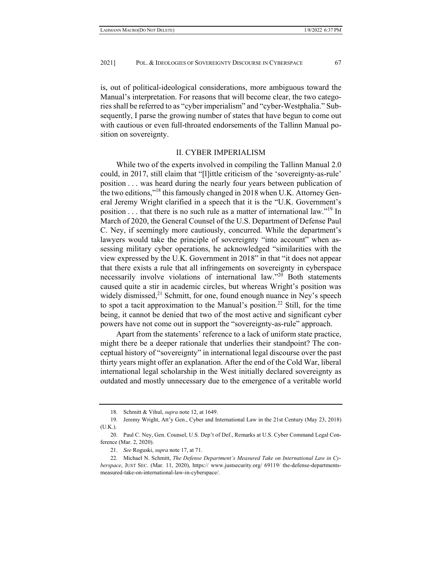is, out of political-ideological considerations, more ambiguous toward the Manual's interpretation. For reasons that will become clear, the two categories shall be referred to as "cyber imperialism" and "cyber-Westphalia." Subsequently, I parse the growing number of states that have begun to come out with cautious or even full-throated endorsements of the Tallinn Manual position on sovereignty.

#### II. CYBER IMPERIALISM

While two of the experts involved in compiling the Tallinn Manual 2.0 could, in 2017, still claim that "[l]ittle criticism of the 'sovereignty-as-rule' position . . . was heard during the nearly four years between publication of the two editions,"<sup>18</sup> this famously changed in 2018 when U.K. Attorney General Jeremy Wright clarified in a speech that it is the "U.K. Government's position . . . that there is no such rule as a matter of international law."19 In March of 2020, the General Counsel of the U.S. Department of Defense Paul C. Ney, if seemingly more cautiously, concurred. While the department's lawyers would take the principle of sovereignty "into account" when assessing military cyber operations, he acknowledged "similarities with the view expressed by the U.K. Government in 2018" in that "it does not appear that there exists a rule that all infringements on sovereignty in cyberspace necessarily involve violations of international law."<sup>20</sup> Both statements caused quite a stir in academic circles, but whereas Wright's position was widely dismissed, $^{21}$  Schmitt, for one, found enough nuance in Ney's speech to spot a tacit approximation to the Manual's position.<sup>22</sup> Still, for the time being, it cannot be denied that two of the most active and significant cyber powers have not come out in support the "sovereignty-as-rule" approach.

Apart from the statements' reference to a lack of uniform state practice, might there be a deeper rationale that underlies their standpoint? The conceptual history of "sovereignty" in international legal discourse over the past thirty years might offer an explanation. After the end of the Cold War, liberal international legal scholarship in the West initially declared sovereignty as outdated and mostly unnecessary due to the emergence of a veritable world

 <sup>18.</sup> Schmitt & Vihul, *supra* note 12, at 1649.

 <sup>19.</sup> Jeremy Wright, Att'y Gen., Cyber and International Law in the 21st Century (May 23, 2018) (U.K.).

 <sup>20.</sup> Paul C. Ney, Gen. Counsel, U.S. Dep't of Def., Remarks at U.S. Cyber Command Legal Conference (Mar. 2, 2020).

 <sup>21.</sup> *See* Roguski, *supra* note 17, at 71.

 <sup>22.</sup> Michael N. Schmitt, *The Defense Department's Measured Take on International Law in Cyberspace*, JUST SEC. (Mar. 11, 2020), https:// www.justsecurity.org/ 69119/ the-defense-departmentsmeasured-take-on-international-law-in-cyberspace/.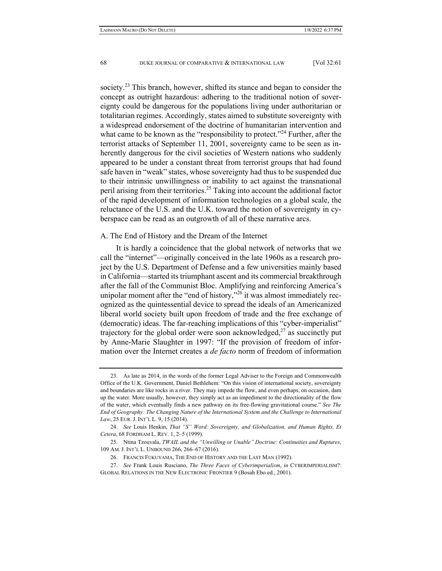society.<sup>23</sup> This branch, however, shifted its stance and began to consider the concept as outright hazardous: adhering to the traditional notion of sovereignty could be dangerous for the populations living under authoritarian or totalitarian regimes. Accordingly, states aimed to substitute sovereignty with a widespread endorsement of the doctrine of humanitarian intervention and what came to be known as the "responsibility to protect."<sup>24</sup> Further, after the terrorist attacks of September 11, 2001, sovereignty came to be seen as inherently dangerous for the civil societies of Western nations who suddenly appeared to be under a constant threat from terrorist groups that had found safe haven in "weak" states, whose sovereignty had thus to be suspended due to their intrinsic unwillingness or inability to act against the transnational peril arising from their territories.<sup>25</sup> Taking into account the additional factor of the rapid development of information technologies on a global scale, the reluctance of the U.S. and the U.K. toward the notion of sovereignty in cyberspace can be read as an outgrowth of all of these narrative arcs.

#### A. The End of History and the Dream of the Internet

It is hardly a coincidence that the global network of networks that we call the "internet"—originally conceived in the late 1960s as a research project by the U.S. Department of Defense and a few universities mainly based in California—started its triumphant ascent and its commercial breakthrough after the fall of the Communist Bloc. Amplifying and reinforcing America's unipolar moment after the "end of history,"<sup>26</sup> it was almost immediately recognized as the quintessential device to spread the ideals of an Americanized liberal world society built upon freedom of trade and the free exchange of (democratic) ideas. The far-reaching implications of this "cyber-imperialist" trajectory for the global order were soon acknowledged,<sup>27</sup> as succinctly put by Anne-Marie Slaughter in 1997: "If the provision of freedom of information over the Internet creates a *de facto* norm of freedom of information

 <sup>23.</sup> As late as 2014, in the words of the former Legal Adviser to the Foreign and Commonwealth Office of the U.K. Government, Daniel Bethlehem: "On this vision of international society, sovereignty and boundaries are like rocks in a river. They may impede the flow, and even perhaps, on occasion, dam up the water. More usually, however, they simply act as an impediment to the directionality of the flow of the water, which eventually finds a new pathway on its free-flowing gravitational course." *See The End of Geography: The Changing Nature of the International System and the Challenge to International Law*, 25 EUR. J. INT'L L. 9, 15 (2014).

 <sup>24.</sup> *See* Louis Henkin, *That "S" Word: Sovereignty, and Globalization, and Human Rights, Et Cetera*, 68 FORDHAM L. REV. 1, 2–5 (1999).

 <sup>25.</sup> Ntina Tzouvala, *TWAIL and the "Unwilling or Unable" Doctrine: Continuities and Ruptures*, 109 AM. J. INT'L L. UNBOUND 266, 266–67 (2016).

 <sup>26.</sup> FRANCIS FUKUYAMA, THE END OF HISTORY AND THE LAST MAN (1992).

 <sup>27.</sup> *See* Frank Louis Rusciano, *The Three Faces of Cyberimperialism*, *in* CYBERIMPERIALISM?: GLOBAL RELATIONS IN THE NEW ELECTRONIC FRONTIER 9 (Bosah Ebo ed., 2001).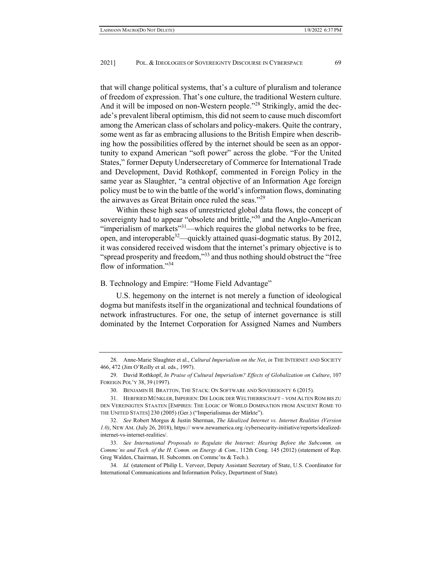that will change political systems, that's a culture of pluralism and tolerance of freedom of expression. That's one culture, the traditional Western culture. And it will be imposed on non-Western people."<sup>28</sup> Strikingly, amid the decade's prevalent liberal optimism, this did not seem to cause much discomfort among the American class of scholars and policy-makers. Quite the contrary, some went as far as embracing allusions to the British Empire when describing how the possibilities offered by the internet should be seen as an opportunity to expand American "soft power" across the globe. "For the United States," former Deputy Undersecretary of Commerce for International Trade and Development, David Rothkopf, commented in Foreign Policy in the same year as Slaughter, "a central objective of an Information Age foreign policy must be to win the battle of the world's information flows, dominating the airwaves as Great Britain once ruled the seas."<sup>29</sup>

Within these high seas of unrestricted global data flows, the concept of sovereignty had to appear "obsolete and brittle,"30 and the Anglo-American "imperialism of markets" $31$ —which requires the global networks to be free, open, and interoperable<sup>32</sup>—quickly attained quasi-dogmatic status. By 2012, it was considered received wisdom that the internet's primary objective is to "spread prosperity and freedom,"<sup>33</sup> and thus nothing should obstruct the "free" flow of information."34

# B. Technology and Empire: "Home Field Advantage"

U.S. hegemony on the internet is not merely a function of ideological dogma but manifests itself in the organizational and technical foundations of network infrastructures. For one, the setup of internet governance is still dominated by the Internet Corporation for Assigned Names and Numbers

 <sup>28.</sup> Anne-Marie Slaughter et al., *Cultural Imperialism on the Net*, *in* THE INTERNET AND SOCIETY 466, 472 (Jim O'Reilly et al. eds., 1997).

 <sup>29.</sup> David Rothkopf, *In Praise of Cultural Imperialism? Effects of Globalization on Culture*, 107 FOREIGN POL'Y 38, 39 (1997).

 <sup>30.</sup> BENJAMIN H. BRATTON, THE STACK: ON SOFTWARE AND SOVEREIGNTY 6 (2015).

 <sup>31.</sup> HERFRIED MÜNKLER, IMPERIEN: DIE LOGIK DER WELTHERRSCHAFT – VOM ALTEN ROM BIS ZU DEN VEREINIGTEN STAATEN [EMPIRES: THE LOGIC OF WORLD DOMINATION FROM ANCIENT ROME TO THE UNITED STATES] 230 (2005) (Ger.) ("Imperialismus der Märkte").

 <sup>32.</sup> *See* Robert Morgus & Justin Sherman, *The Idealized Internet vs. Internet Realities (Version 1.0)*, NEW AM. (July 26, 2018), https:// www.newamerica.org /cybersecurity-initiative/reports/idealizedinternet-vs-internet-realities/.

 <sup>33.</sup> *See International Proposals to Regulate the Internet: Hearing Before the Subcomm. on Commc'ns and Tech. of the H. Comm. on Energy & Com.,* 112th Cong. 145 (2012) (statement of Rep. Greg Walden, Chairman, H. Subcomm. on Commc'ns & Tech.).

 <sup>34.</sup> *Id.* (statement of Philip L. Verveer, Deputy Assistant Secretary of State, U.S. Coordinator for International Communications and Information Policy, Department of State).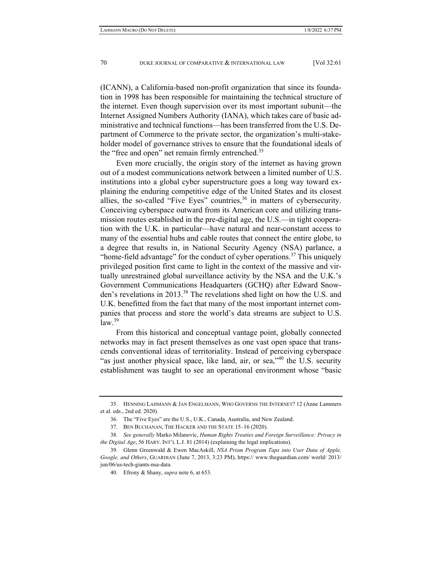(ICANN), a California-based non-profit organization that since its foundation in 1998 has been responsible for maintaining the technical structure of the internet. Even though supervision over its most important subunit—the Internet Assigned Numbers Authority (IANA), which takes care of basic administrative and technical functions—has been transferred from the U.S. Department of Commerce to the private sector, the organization's multi-stakeholder model of governance strives to ensure that the foundational ideals of the "free and open" net remain firmly entrenched.<sup>35</sup>

Even more crucially, the origin story of the internet as having grown out of a modest communications network between a limited number of U.S. institutions into a global cyber superstructure goes a long way toward explaining the enduring competitive edge of the United States and its closest allies, the so-called "Five Eyes" countries,  $36$  in matters of cybersecurity. Conceiving cyberspace outward from its American core and utilizing transmission routes established in the pre-digital age, the U.S.—in tight cooperation with the U.K. in particular—have natural and near-constant access to many of the essential hubs and cable routes that connect the entire globe, to a degree that results in, in National Security Agency (NSA) parlance, a "home-field advantage" for the conduct of cyber operations. $37$  This uniquely privileged position first came to light in the context of the massive and virtually unrestrained global surveillance activity by the NSA and the U.K.'s Government Communications Headquarters (GCHQ) after Edward Snowden's revelations in 2013.<sup>38</sup> The revelations shed light on how the U.S. and U.K. benefitted from the fact that many of the most important internet companies that process and store the world's data streams are subject to U.S.  $law<sup>39</sup>$ 

From this historical and conceptual vantage point, globally connected networks may in fact present themselves as one vast open space that transcends conventional ideas of territoriality. Instead of perceiving cyberspace "as just another physical space, like land, air, or sea,"<sup>40</sup> the U.S. security establishment was taught to see an operational environment whose "basic

 <sup>35.</sup> HENNING LAHMANN & JAN ENGELMANN, WHO GOVERNS THE INTERNET? 12 (Anne Lammers et al. eds., 2nd ed. 2020).

 <sup>36.</sup> The "Five Eyes" are the U.S., U.K., Canada, Australia, and New Zealand.

 <sup>37.</sup> BEN BUCHANAN, THE HACKER AND THE STATE 15–16 (2020).

 <sup>38.</sup> *See generally* Marko Milanovic, *Human Rights Treaties and Foreign Surveillance: Privacy in the Digital Age*, 56 HARV. INT'L L.J. 81 (2014) (explaining the legal implications).

 <sup>39.</sup> Glenn Greenwald & Ewen MacAskill, *NSA Prism Program Taps into User Data of Apple, Google, and Others*, GUARDIAN (June 7, 2013, 3:23 PM), https:// www.theguardian.com/ world/ 2013/ jun/06/us-tech-giants-nsa-data.

 <sup>40.</sup> Efrony & Shany, *supra* note 6, at 653.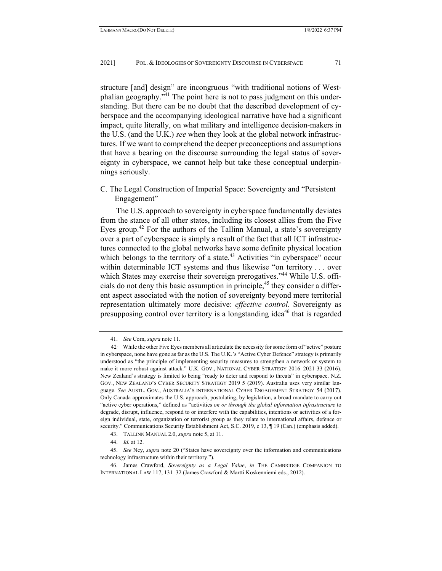structure [and] design" are incongruous "with traditional notions of Westphalian geography."<sup>41</sup> The point here is not to pass judgment on this understanding. But there can be no doubt that the described development of cyberspace and the accompanying ideological narrative have had a significant impact, quite literally, on what military and intelligence decision-makers in the U.S. (and the U.K.) *see* when they look at the global network infrastructures. If we want to comprehend the deeper preconceptions and assumptions that have a bearing on the discourse surrounding the legal status of sovereignty in cyberspace, we cannot help but take these conceptual underpinnings seriously.

C. The Legal Construction of Imperial Space: Sovereignty and "Persistent Engagement"

The U.S. approach to sovereignty in cyberspace fundamentally deviates from the stance of all other states, including its closest allies from the Five Eyes group.<sup>42</sup> For the authors of the Tallinn Manual, a state's sovereignty over a part of cyberspace is simply a result of the fact that all ICT infrastructures connected to the global networks have some definite physical location which belongs to the territory of a state.<sup>43</sup> Activities "in cyberspace" occur within determinable ICT systems and thus likewise "on territory . . . over which States may exercise their sovereign prerogatives."<sup>44</sup> While U.S. officials do not deny this basic assumption in principle,  $45$  they consider a different aspect associated with the notion of sovereignty beyond mere territorial representation ultimately more decisive: *effective control*. Sovereignty as presupposing control over territory is a longstanding idea<sup>46</sup> that is regarded

 <sup>41.</sup> *See* Corn, *supra* note 11.

<sup>42.</sup> While the other Five Eyes members all articulate the necessity for some form of "active" posture in cyberspace, none have gone as far as the U.S. The U.K.'s "Active Cyber Defence" strategy is primarily understood as "the principle of implementing security measures to strengthen a network or system to make it more robust against attack." U.K. GOV., NATIONAL CYBER STRATEGY 2016–2021 33 (2016). New Zealand's strategy is limited to being "ready to deter and respond to threats" in cyberspace. N.Z. GOV., NEW ZEALAND'S CYBER SECURITY STRATEGY 2019 5 (2019). Australia uses very similar language. *See* AUSTL. GOV., AUSTRALIA'S INTERNATIONAL CYBER ENGAGEMENT STRATEGY 54 (2017). Only Canada approximates the U.S. approach, postulating, by legislation, a broad mandate to carry out "active cyber operations," defined as "activities *on or through the global information infrastructure* to degrade, disrupt, influence, respond to or interfere with the capabilities, intentions or activities of a foreign individual, state, organization or terrorist group as they relate to international affairs, defence or security." Communications Security Establishment Act, S.C. 2019, c 13, ¶ 19 (Can.) (emphasis added).

 <sup>43.</sup> TALLINN MANUAL 2.0, *supra* note 5, at 11.

 <sup>44.</sup> *Id.* at 12.

 <sup>45.</sup> *See* Ney, *supra* note 20 ("States have sovereignty over the information and communications technology infrastructure within their territory.").

 <sup>46.</sup> James Crawford, *Sovereignty as a Legal Value*, *in* THE CAMBRIDGE COMPANION TO INTERNATIONAL LAW 117, 131–32 (James Crawford & Martti Koskenniemi eds., 2012).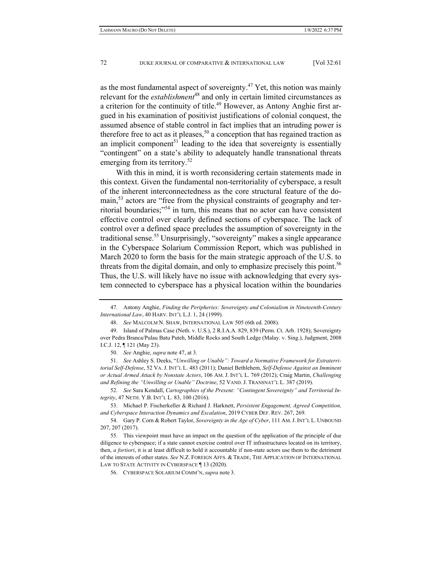as the most fundamental aspect of sovereignty.<sup>47</sup> Yet, this notion was mainly relevant for the *establishment*48 and only in certain limited circumstances as a criterion for the continuity of title.<sup>49</sup> However, as Antony Anghie first argued in his examination of positivist justifications of colonial conquest, the assumed absence of stable control in fact implies that an intruding power is therefore free to act as it pleases,  $50$  a conception that has regained traction as an implicit component<sup>51</sup> leading to the idea that sovereignty is essentially "contingent" on a state's ability to adequately handle transnational threats emerging from its territory.<sup>52</sup>

With this in mind, it is worth reconsidering certain statements made in this context. Given the fundamental non-territoriality of cyberspace, a result of the inherent interconnectedness as the core structural feature of the domain,<sup>53</sup> actors are "free from the physical constraints of geography and territorial boundaries;"54 in turn, this means that no actor can have consistent effective control over clearly defined sections of cyberspace. The lack of control over a defined space precludes the assumption of sovereignty in the traditional sense.<sup>55</sup> Unsurprisingly, "sovereignty" makes a single appearance in the Cyberspace Solarium Commission Report, which was published in March 2020 to form the basis for the main strategic approach of the U.S. to threats from the digital domain, and only to emphasize precisely this point.<sup>56</sup> Thus, the U.S. will likely have no issue with acknowledging that every system connected to cyberspace has a physical location within the boundaries

 <sup>47.</sup> Antony Anghie, *Finding the Peripheries: Sovereignty and Colonialism in Nineteenth-Century International Law*, 40 HARV. INT'L L.J. 1, 24 (1999).

 <sup>48.</sup> *See* MALCOLM N. SHAW, INTERNATIONAL LAW 505 (6th ed. 2008).

 <sup>49.</sup> Island of Palmas Case (Neth. v. U.S.), 2 R.I.A.A. 829, 839 (Perm. Ct. Arb. 1928); Sovereignty over Pedra Branca/Pulau Batu Puteh, Middle Rocks and South Ledge (Malay. v. Sing.), Judgment, 2008 I.C.J. 12, ¶ 121 (May 23).

 <sup>50.</sup> *See* Anghie, *supra* note 47, at 3.

 <sup>51.</sup> *See* Ashley S. Deeks, "*Unwilling or Unable": Toward a Normative Framework for Extraterritorial Self-Defense*, 52 VA. J. INT'L L. 483 (2011); Daniel Bethlehem, *Self-Defense Against an Imminent or Actual Armed Attack by Nonstate Actors*, 106 AM. J. INT'L L. 769 (2012); Craig Martin, *Challenging and Refining the "Unwilling or Unable" Doctrine*, 52 VAND. J. TRANSNAT'L L. 387 (2019).

 <sup>52.</sup> *See* Sara Kendall, *Cartographies of the Present: "Contingent Sovereignty" and Territorial Integrity*, 47 NETH. Y.B. INT'L L. 83, 100 (2016).

 <sup>53.</sup> Michael P. Fischerkeller & Richard J. Harknett, *Persistent Engagement, Agreed Competition, and Cyberspace Interaction Dynamics and Escalation*, 2019 CYBER DEF. REV. 267, 269.

 <sup>54.</sup> Gary P. Corn & Robert Taylor, *Sovereignty in the Age of Cyber*, 111 AM.J. INT'L L. UNBOUND 207, 207 (2017).

 <sup>55.</sup> This viewpoint must have an impact on the question of the application of the principle of due diligence to cyberspace; if a state cannot exercise control over IT infrastructures located on its territory, then, *a fortiori*, it is at least difficult to hold it accountable if non-state actors use them to the detriment of the interests of other states. *See* N.Z. FOREIGN AFFS. & TRADE, THE APPLICATION OF INTERNATIONAL LAW TO STATE ACTIVITY IN CYBERSPACE 13 (2020).

 <sup>56.</sup> CYBERSPACE SOLARIUM COMM'N, *supra* note 3.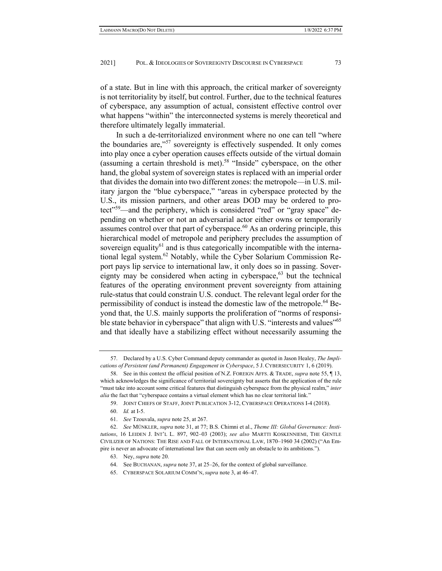of a state. But in line with this approach, the critical marker of sovereignty is not territoriality by itself, but control. Further, due to the technical features of cyberspace, any assumption of actual, consistent effective control over what happens "within" the interconnected systems is merely theoretical and therefore ultimately legally immaterial.

In such a de-territorialized environment where no one can tell "where the boundaries are,"<sup>57</sup> sovereignty is effectively suspended. It only comes into play once a cyber operation causes effects outside of the virtual domain (assuming a certain threshold is met).<sup>58</sup> "Inside" cyberspace, on the other hand, the global system of sovereign states is replaced with an imperial order that divides the domain into two different zones: the metropole—in U.S. military jargon the "blue cyberspace," "areas in cyberspace protected by the U.S., its mission partners, and other areas DOD may be ordered to protect"<sup>59</sup>—and the periphery, which is considered "red" or "gray space" depending on whether or not an adversarial actor either owns or temporarily assumes control over that part of cyberspace.<sup>60</sup> As an ordering principle, this hierarchical model of metropole and periphery precludes the assumption of sovereign equality $61$  and is thus categorically incompatible with the international legal system.<sup>62</sup> Notably, while the Cyber Solarium Commission Report pays lip service to international law, it only does so in passing. Sovereignty may be considered when acting in cyberspace, $63$  but the technical features of the operating environment prevent sovereignty from attaining rule-status that could constrain U.S. conduct. The relevant legal order for the permissibility of conduct is instead the domestic law of the metropole.<sup>64</sup> Beyond that, the U.S. mainly supports the proliferation of "norms of responsible state behavior in cyberspace" that align with U.S. "interests and values"<sup>65</sup> and that ideally have a stabilizing effect without necessarily assuming the

63. Ney, *supra* note 20.

 <sup>57.</sup> Declared by a U.S. Cyber Command deputy commander as quoted in Jason Healey, *The Implications of Persistent (and Permanent) Engagement in Cyberspace*, 5 J. CYBERSECURITY 1, 6 (2019).

 <sup>58.</sup> See in this context the official position of N.Z. FOREIGN AFFS. & TRADE, *supra* note 55, ¶ 13, which acknowledges the significance of territorial sovereignty but asserts that the application of the rule "must take into account some critical features that distinguish cyberspace from the physical realm," *inter alia* the fact that "cyberspace contains a virtual element which has no clear territorial link."

 <sup>59.</sup> JOINT CHIEFS OF STAFF, JOINT PUBLICATION 3-12, CYBERSPACE OPERATIONS I-4 (2018).

 <sup>60.</sup> *Id.* at I-5.

 <sup>61.</sup> *See* Tzouvala, *supra* note 25, at 267.

 <sup>62.</sup> *See* MÜNKLER, *supra* note 31, at 77; B.S. Chimni et al., *Theme III: Global Governance: Institutions*, 16 LEIDEN J. INT'L L. 897, 902–03 (2003); *see also* MARTTI KOSKENNIEMI, THE GENTLE CIVILIZER OF NATIONS: THE RISE AND FALL OF INTERNATIONAL LAW, 1870–1960 34 (2002) ("An Empire is never an advocate of international law that can seem only an obstacle to its ambitions.").

 <sup>64.</sup> See BUCHANAN, *supra* note 37, at 25–26, for the context of global surveillance.

 <sup>65.</sup> CYBERSPACE SOLARIUM COMM'N, *supra* note 3, at 46–47.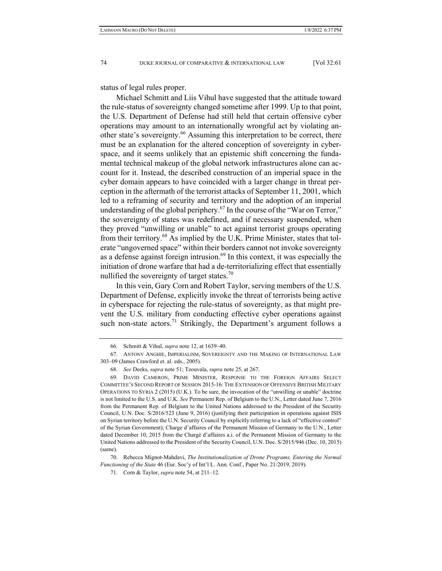status of legal rules proper.

Michael Schmitt and Liis Vihul have suggested that the attitude toward the rule-status of sovereignty changed sometime after 1999. Up to that point, the U.S. Department of Defense had still held that certain offensive cyber operations may amount to an internationally wrongful act by violating another state's sovereignty.<sup>66</sup> Assuming this interpretation to be correct, there must be an explanation for the altered conception of sovereignty in cyberspace, and it seems unlikely that an epistemic shift concerning the fundamental technical makeup of the global network infrastructures alone can account for it. Instead, the described construction of an imperial space in the cyber domain appears to have coincided with a larger change in threat perception in the aftermath of the terrorist attacks of September 11, 2001, which led to a reframing of security and territory and the adoption of an imperial understanding of the global periphery.<sup>67</sup> In the course of the "War on Terror," the sovereignty of states was redefined, and if necessary suspended, when they proved "unwilling or unable" to act against terrorist groups operating from their territory.68 As implied by the U.K. Prime Minister, states that tolerate "ungoverned space" within their borders cannot not invoke sovereignty as a defense against foreign intrusion.<sup>69</sup> In this context, it was especially the initiation of drone warfare that had a de-territorializing effect that essentially nullified the sovereignty of target states.<sup>70</sup>

In this vein, Gary Corn and Robert Taylor, serving members of the U.S. Department of Defense, explicitly invoke the threat of terrorists being active in cyberspace for rejecting the rule-status of sovereignty, as that might prevent the U.S. military from conducting effective cyber operations against such non-state actors.<sup>71</sup> Strikingly, the Department's argument follows a

 <sup>66.</sup> Schmitt & Vihul, *supra* note 12, at 1639–40.

 <sup>67.</sup> ANTONY ANGHIE, IMPERIALISM, SOVEREIGNTY AND THE MAKING OF INTERNATIONAL LAW 303–09 (James Crawford et. al. eds., 2005).

 <sup>68.</sup> *See* Deeks, *supra* note 51; Tzouvala, *supra* note 25, at 267.

 <sup>69.</sup> DAVID CAMERON, PRIME MINISTER, RESPONSE TO THE FOREIGN AFFAIRS SELECT COMMITTEE'S SECOND REPORT OF SESSION 2015-16: THE EXTENSION OF OFFENSIVE BRITISH MILITARY OPERATIONS TO SYRIA 2 (2015) (U.K.). To be sure, the invocation of the "unwilling or unable" doctrine is not limited to the U.S. and U.K. *See* Permanent Rep. of Belgium to the U.N., Letter dated June 7, 2016 from the Permanent Rep. of Belgium to the United Nations addressed to the President of the Security Council, U.N. Doc. S/2016/523 (June 9, 2016) (justifying their participation in operations against ISIS on Syrian territory before the U.N. Security Council by explicitly referring to a lack of "effective control" of the Syrian Government); Charge d'affaires of the Permanent Mission of Germany to the U.N., Letter dated December 10, 2015 from the Chargé d'affaires a.i. of the Permanent Mission of Germany to the United Nations addressed to the President of the Security Council, U.N. Doc. S/2015/946 (Dec. 10, 2015) (same).

 <sup>70.</sup> Rebecca Mignot-Mahdavi, *The Institutionalization of Drone Programs, Entering the Normal Functioning of the State* 46 (Eur. Soc'y of Int'l L. Ann. Conf., Paper No. 21/2019, 2019).

 <sup>71.</sup> Corn & Taylor, *supra* note 54, at 211–12.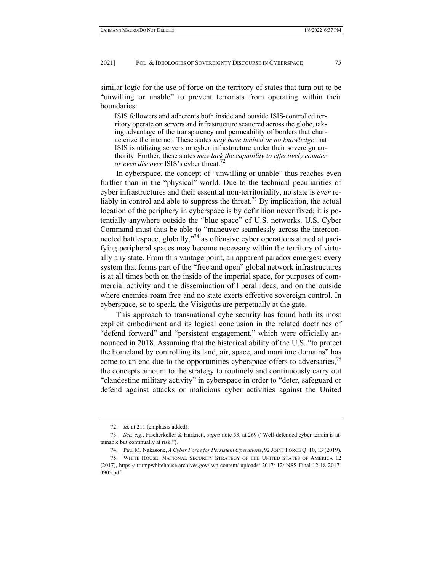similar logic for the use of force on the territory of states that turn out to be "unwilling or unable" to prevent terrorists from operating within their boundaries:

ISIS followers and adherents both inside and outside ISIS-controlled territory operate on servers and infrastructure scattered across the globe, taking advantage of the transparency and permeability of borders that characterize the internet. These states *may have limited or no knowledge* that ISIS is utilizing servers or cyber infrastructure under their sovereign authority. Further, these states *may lack the capability to effectively counter or even discover* ISIS's cyber threat.<sup>72</sup>

In cyberspace, the concept of "unwilling or unable" thus reaches even further than in the "physical" world. Due to the technical peculiarities of cyber infrastructures and their essential non-territoriality, no state is *ever* reliably in control and able to suppress the threat.<sup>73</sup> By implication, the actual location of the periphery in cyberspace is by definition never fixed; it is potentially anywhere outside the "blue space" of U.S. networks. U.S. Cyber Command must thus be able to "maneuver seamlessly across the interconnected battlespace, globally,"74 as offensive cyber operations aimed at pacifying peripheral spaces may become necessary within the territory of virtually any state. From this vantage point, an apparent paradox emerges: every system that forms part of the "free and open" global network infrastructures is at all times both on the inside of the imperial space, for purposes of commercial activity and the dissemination of liberal ideas, and on the outside where enemies roam free and no state exerts effective sovereign control. In cyberspace, so to speak, the Visigoths are perpetually at the gate.

This approach to transnational cybersecurity has found both its most explicit embodiment and its logical conclusion in the related doctrines of "defend forward" and "persistent engagement," which were officially announced in 2018. Assuming that the historical ability of the U.S. "to protect the homeland by controlling its land, air, space, and maritime domains" has come to an end due to the opportunities cyberspace offers to adversaries,<sup>75</sup> the concepts amount to the strategy to routinely and continuously carry out "clandestine military activity" in cyberspace in order to "deter, safeguard or defend against attacks or malicious cyber activities against the United

 <sup>72.</sup> *Id.* at 211 (emphasis added).

 <sup>73.</sup> *See, e.g.*, Fischerkeller & Harknett, *supra* note 53, at 269 ("Well-defended cyber terrain is attainable but continually at risk.").

 <sup>74.</sup> Paul M. Nakasone, *A Cyber Force for Persistent Operations*, 92 JOINT FORCE Q. 10, 13 (2019).

 <sup>75.</sup> WHITE HOUSE, NATIONAL SECURITY STRATEGY OF THE UNITED STATES OF AMERICA 12 (2017), https:// trumpwhitehouse.archives.gov/ wp-content/ uploads/ 2017/ 12/ NSS-Final-12-18-2017- 0905.pdf.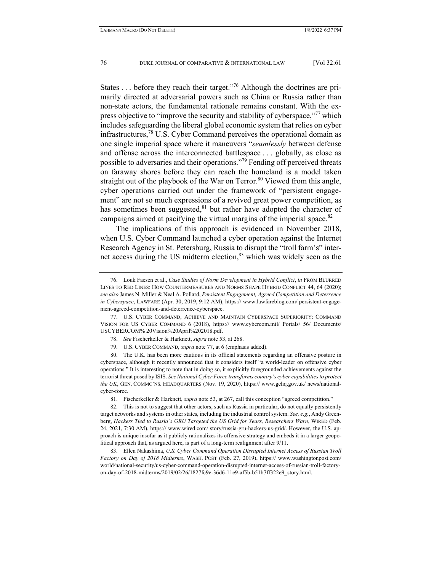States  $\dots$  before they reach their target."<sup>76</sup> Although the doctrines are primarily directed at adversarial powers such as China or Russia rather than non-state actors, the fundamental rationale remains constant. With the express objective to "improve the security and stability of cyberspace,"<sup>77</sup> which includes safeguarding the liberal global economic system that relies on cyber infrastructures, ${}^{78}$  U.S. Cyber Command perceives the operational domain as one single imperial space where it maneuvers "*seamlessly* between defense and offense across the interconnected battlespace . . . globally, as close as possible to adversaries and their operations."<sup>79</sup> Fending off perceived threats on faraway shores before they can reach the homeland is a model taken straight out of the playbook of the War on Terror.<sup>80</sup> Viewed from this angle, cyber operations carried out under the framework of "persistent engagement" are not so much expressions of a revived great power competition, as has sometimes been suggested, $81$  but rather have adopted the character of campaigns aimed at pacifying the virtual margins of the imperial space.<sup>82</sup>

The implications of this approach is evidenced in November 2018, when U.S. Cyber Command launched a cyber operation against the Internet Research Agency in St. Petersburg, Russia to disrupt the "troll farm's" internet access during the US midterm election, $83$  which was widely seen as the

- 78. *See* Fischerkeller & Harknett, *supra* note 53, at 268.
- 79. U.S. CYBER COMMAND, *supra* note 77, at 6 (emphasis added).

 80. The U.K. has been more cautious in its official statements regarding an offensive posture in cyberspace, although it recently announced that it considers itself "a world-leader on offensive cyber operations." It is interesting to note that in doing so, it explicitly foregrounded achievements against the terrorist threat posed by ISIS. See National Cyber Force transforms country's cyber capabilities to protect *the UK*, GEN. COMMC'NS. HEADQUARTERS (Nov. 19, 2020), https:// www.gchq.gov.uk/ news/nationalcyber-force.

81. Fischerkeller & Harknett, *supra* note 53, at 267, call this conception "agreed competition."

 82. This is not to suggest that other actors, such as Russia in particular, do not equally persistently target networks and systems in other states, including the industrial control system. *See, e.g.*, Andy Greenberg, *Hackers Tied to Russia's GRU Targeted the US Grid for Years, Researchers Warn*, WIRED (Feb. 24, 2021, 7:30 AM), https:// www.wired.com/ story/russia-gru-hackers-us-grid/. However, the U.S. approach is unique insofar as it publicly rationalizes its offensive strategy and embeds it in a larger geopolitical approach that, as argued here, is part of a long-term realignment after 9/11.

 83. Ellen Nakashima, *U.S. Cyber Command Operation Disrupted Internet Access of Russian Troll Factory on Day of 2018 Midterms*, WASH. POST (Feb. 27, 2019), https:// www.washingtonpost.com/ world/national-security/us-cyber-command-operation-disrupted-internet-access-of-russian-troll-factoryon-day-of-2018-midterms/2019/02/26/1827fc9e-36d6-11e9-af5b-b51b7ff322e9\_story.html.

 <sup>76.</sup> Louk Faesen et al., *Case Studies of Norm Development in Hybrid Conflict*, *in* FROM BLURRED LINES TO RED LINES: HOW COUNTERMEASURES AND NORMS SHAPE HYBRID CONFLICT 44, 64 (2020); *see also* James N. Miller & Neal A. Pollard, *Persistent Engagement, Agreed Competition and Deterrence in Cyberspace*, LAWFARE (Apr. 30, 2019, 9:12 AM), https:// www.lawfareblog.com/ persistent-engagement-agreed-competition-and-deterrence-cyberspace.

 <sup>77.</sup> U.S. CYBER COMMAND, ACHIEVE AND MAINTAIN CYBERSPACE SUPERIORITY: COMMAND VISION FOR US CYBER COMMAND 6 (2018), https:// www.cybercom.mil/ Portals/ 56/ Documents/ USCYBERCOM% 20Vision%20April%202018.pdf.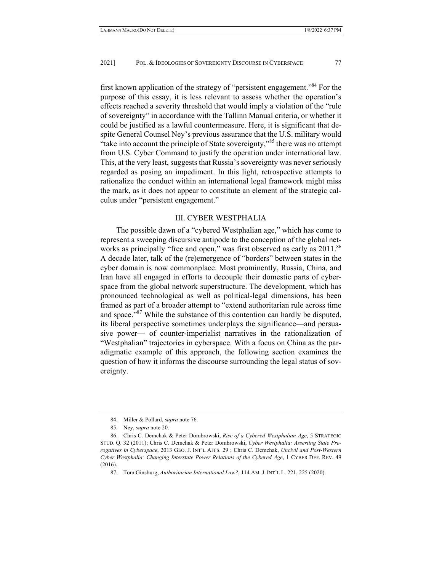first known application of the strategy of "persistent engagement."<sup>84</sup> For the purpose of this essay, it is less relevant to assess whether the operation's effects reached a severity threshold that would imply a violation of the "rule of sovereignty" in accordance with the Tallinn Manual criteria, or whether it could be justified as a lawful countermeasure. Here, it is significant that despite General Counsel Ney's previous assurance that the U.S. military would "take into account the principle of State sovereignty,"<sup>85</sup> there was no attempt from U.S. Cyber Command to justify the operation under international law. This, at the very least, suggests that Russia's sovereignty was never seriously regarded as posing an impediment. In this light, retrospective attempts to rationalize the conduct within an international legal framework might miss the mark, as it does not appear to constitute an element of the strategic calculus under "persistent engagement."

#### III. CYBER WESTPHALIA

The possible dawn of a "cybered Westphalian age," which has come to represent a sweeping discursive antipode to the conception of the global networks as principally "free and open," was first observed as early as 2011.<sup>86</sup> A decade later, talk of the (re)emergence of "borders" between states in the cyber domain is now commonplace. Most prominently, Russia, China, and Iran have all engaged in efforts to decouple their domestic parts of cyberspace from the global network superstructure. The development, which has pronounced technological as well as political-legal dimensions, has been framed as part of a broader attempt to "extend authoritarian rule across time and space."<sup>87</sup> While the substance of this contention can hardly be disputed, its liberal perspective sometimes underplays the significance—and persuasive power— of counter-imperialist narratives in the rationalization of "Westphalian" trajectories in cyberspace. With a focus on China as the paradigmatic example of this approach, the following section examines the question of how it informs the discourse surrounding the legal status of sovereignty.

 <sup>84.</sup> Miller & Pollard, *supra* note 76.

 <sup>85.</sup> Ney, *supra* note 20.

 <sup>86.</sup> Chris C. Demchak & Peter Dombrowski, *Rise of a Cybered Westphalian Age*, 5 STRATEGIC STUD. Q. 32 (2011); Chris C. Demchak & Peter Dombrowski, *Cyber Westphalia: Asserting State Prerogatives in Cyberspace*, 2013 GEO. J. INT'L AFFS. 29 ; Chris C. Demchak, *Uncivil and Post-Western Cyber Westphalia: Changing Interstate Power Relations of the Cybered Age*, 1 CYBER DEF. REV. 49 (2016).

 <sup>87.</sup> Tom Ginsburg, *Authoritarian International Law?*, 114 AM. J. INT'L L. 221, 225 (2020).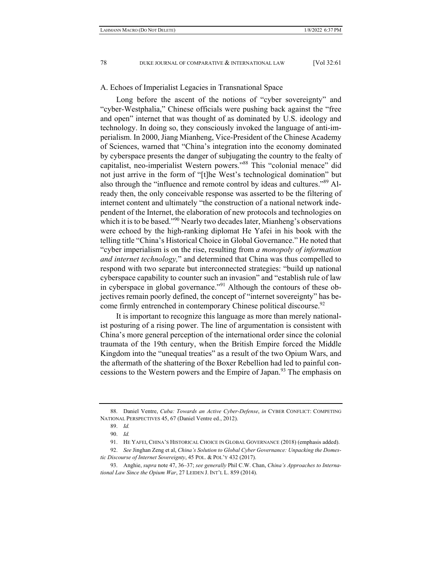#### A. Echoes of Imperialist Legacies in Transnational Space

Long before the ascent of the notions of "cyber sovereignty" and "cyber-Westphalia," Chinese officials were pushing back against the "free and open" internet that was thought of as dominated by U.S. ideology and technology. In doing so, they consciously invoked the language of anti-imperialism. In 2000, Jiang Mianheng, Vice-President of the Chinese Academy of Sciences, warned that "China's integration into the economy dominated by cyberspace presents the danger of subjugating the country to the fealty of capitalist, neo-imperialist Western powers."88 This "colonial menace" did not just arrive in the form of "[t]he West's technological domination" but also through the "influence and remote control by ideas and cultures."<sup>89</sup> Already then, the only conceivable response was asserted to be the filtering of internet content and ultimately "the construction of a national network independent of the Internet, the elaboration of new protocols and technologies on which it is to be based."<sup>90</sup> Nearly two decades later, Mianheng's observations were echoed by the high-ranking diplomat He Yafei in his book with the telling title "China's Historical Choice in Global Governance." He noted that "cyber imperialism is on the rise, resulting from *a monopoly of information and internet technology,*" and determined that China was thus compelled to respond with two separate but interconnected strategies: "build up national cyberspace capability to counter such an invasion" and "establish rule of law in cyberspace in global governance."91 Although the contours of these objectives remain poorly defined, the concept of "internet sovereignty" has become firmly entrenched in contemporary Chinese political discourse.<sup>92</sup>

It is important to recognize this language as more than merely nationalist posturing of a rising power. The line of argumentation is consistent with China's more general perception of the international order since the colonial traumata of the 19th century, when the British Empire forced the Middle Kingdom into the "unequal treaties" as a result of the two Opium Wars, and the aftermath of the shattering of the Boxer Rebellion had led to painful concessions to the Western powers and the Empire of Japan.<sup>93</sup> The emphasis on

 <sup>88.</sup> Daniel Ventre, *Cuba: Towards an Active Cyber-Defense*, *in* CYBER CONFLICT: COMPETING NATIONAL PERSPECTIVES 45, 67 (Daniel Ventre ed., 2012).

 <sup>89.</sup> *Id.*

 <sup>90.</sup> *Id.*

 <sup>91.</sup> HE YAFEI, CHINA'S HISTORICAL CHOICE IN GLOBAL GOVERNANCE (2018) (emphasis added).

 <sup>92.</sup> *See* Jinghan Zeng et al, *China's Solution to Global Cyber Governance: Unpacking the Domestic Discourse of Internet Sovereignty*, 45 POL. & POL'Y 432 (2017).

 <sup>93.</sup> Anghie, *supra* note 47, 36–37; *see generally* Phil C.W. Chan, *China's Approaches to International Law Since the Opium War*, 27 LEIDEN J. INT'L L. 859 (2014).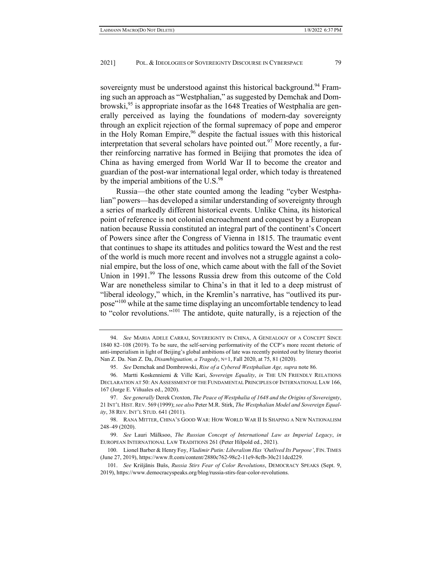sovereignty must be understood against this historical background.<sup>94</sup> Framing such an approach as "Westphalian," as suggested by Demchak and Dombrowski,  $95$  is appropriate insofar as the 1648 Treaties of Westphalia are generally perceived as laying the foundations of modern-day sovereignty through an explicit rejection of the formal supremacy of pope and emperor in the Holy Roman Empire,<sup>96</sup> despite the factual issues with this historical interpretation that several scholars have pointed out.<sup>97</sup> More recently, a further reinforcing narrative has formed in Beijing that promotes the idea of China as having emerged from World War II to become the creator and guardian of the post-war international legal order, which today is threatened by the imperial ambitions of the U.S.<sup>98</sup>

Russia—the other state counted among the leading "cyber Westphalian" powers—has developed a similar understanding of sovereignty through a series of markedly different historical events. Unlike China, its historical point of reference is not colonial encroachment and conquest by a European nation because Russia constituted an integral part of the continent's Concert of Powers since after the Congress of Vienna in 1815. The traumatic event that continues to shape its attitudes and politics toward the West and the rest of the world is much more recent and involves not a struggle against a colonial empire, but the loss of one, which came about with the fall of the Soviet Union in 1991.<sup>99</sup> The lessons Russia drew from this outcome of the Cold War are nonetheless similar to China's in that it led to a deep mistrust of "liberal ideology," which, in the Kremlin's narrative, has "outlived its purpose<sup>"100</sup> while at the same time displaying an uncomfortable tendency to lead to "color revolutions."101 The antidote, quite naturally, is a rejection of the

 101. *See* Krišjānis Bušs, *Russia Stirs Fear of Color Revolutions*, DEMOCRACY SPEAKS (Sept. 9, 2019), https://www.democracyspeaks.org/blog/russia-stirs-fear-color-revolutions.

 <sup>94.</sup> *See* MARIA ADELE CARRAI, SOVEREIGNTY IN CHINA, A GENEALOGY OF A CONCEPT SINCE 1840 82–108 (2019). To be sure, the self-serving performativity of the CCP's more recent rhetoric of anti-imperialism in light of Beijing's global ambitions of late was recently pointed out by literary theorist Nan Z. Da. Nan Z. Da, *Disambiguation, a Tragedy*, N+1, Fall 2020, at 75, 81 (2020).

 <sup>95.</sup> *See* Demchak and Dombrowski, *Rise of a Cybered Westphalian Age, supra* note 86.

 <sup>96.</sup> Martti Koskenniemi & Ville Kari, *Sovereign Equality*, *in* THE UN FRIENDLY RELATIONS DECLARATION AT 50: AN ASSESSMENT OF THE FUNDAMENTAL PRINCIPLES OF INTERNATIONAL LAW 166, 167 (Jorge E. Viñuales ed., 2020).

 <sup>97.</sup> *See generally* Derek Croxton, *The Peace of Westphalia of 1648 and the Origins of Sovereignty*, 21 INT'L HIST. REV. 569 (1999); *see also* Peter M.R. Stirk, *The Westphalian Model and Sovereign Equality*, 38 REV. INT'L STUD. 641 (2011).

 <sup>98.</sup> RANA MITTER, CHINA'S GOOD WAR: HOW WORLD WAR II IS SHAPING A NEW NATIONALISM 248–49 (2020).

 <sup>99.</sup> *See* Lauri Mälksoo, *The Russian Concept of International Law as Imperial Legacy*, *in*  EUROPEAN INTERNATIONAL LAW TRADITIONS 261 (Peter Hilpold ed., 2021).

 <sup>100.</sup> Lionel Barber & Henry Foy, *Vladimir Putin: Liberalism Has 'Outlived Its Purpose'*, FIN. TIMES (June 27, 2019), https://www.ft.com/content/2880c762-98c2-11e9-8cfb-30c211dcd229.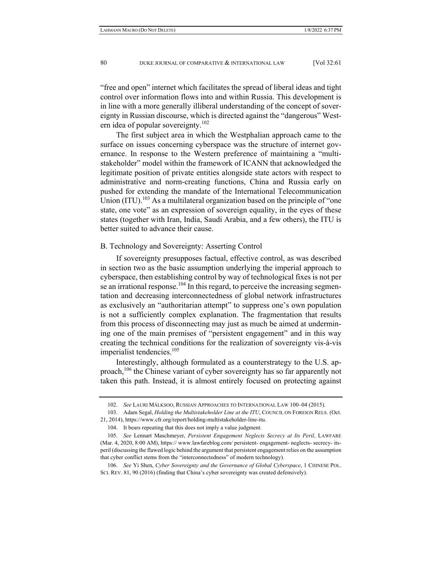"free and open" internet which facilitates the spread of liberal ideas and tight control over information flows into and within Russia. This development is in line with a more generally illiberal understanding of the concept of sovereignty in Russian discourse, which is directed against the "dangerous" Western idea of popular sovereignty.<sup>102</sup>

The first subject area in which the Westphalian approach came to the surface on issues concerning cyberspace was the structure of internet governance. In response to the Western preference of maintaining a "multistakeholder" model within the framework of ICANN that acknowledged the legitimate position of private entities alongside state actors with respect to administrative and norm-creating functions, China and Russia early on pushed for extending the mandate of the International Telecommunication Union  $(ITU)$ .<sup>103</sup> As a multilateral organization based on the principle of "one" state, one vote" as an expression of sovereign equality, in the eyes of these states (together with Iran, India, Saudi Arabia, and a few others), the ITU is better suited to advance their cause.

# B. Technology and Sovereignty: Asserting Control

If sovereignty presupposes factual, effective control, as was described in section two as the basic assumption underlying the imperial approach to cyberspace, then establishing control by way of technological fixes is not per se an irrational response.<sup>104</sup> In this regard, to perceive the increasing segmentation and decreasing interconnectedness of global network infrastructures as exclusively an "authoritarian attempt" to suppress one's own population is not a sufficiently complex explanation. The fragmentation that results from this process of disconnecting may just as much be aimed at undermining one of the main premises of "persistent engagement" and in this way creating the technical conditions for the realization of sovereignty vis-à-vis imperialist tendencies.<sup>105</sup>

Interestingly, although formulated as a counterstrategy to the U.S. approach,<sup>106</sup> the Chinese variant of cyber sovereignty has so far apparently not taken this path. Instead, it is almost entirely focused on protecting against

 106. *See* Yi Shen, *Cyber Sovereignty and the Governance of Global Cyberspace*, 1 CHINESE POL. SCI. REV. 81, 90 (2016) (finding that China's cyber sovereignty was created defensively).

 <sup>102.</sup> *See* LAURI MÄLKSOO, RUSSIAN APPROACHES TO INTERNATIONAL LAW 100–04 (2015).

 <sup>103.</sup> Adam Segal, *Holding the Multistakeholder Line at the ITU*, COUNCIL ON FOREIGN RELS. (Oct. 21, 2014), https://www.cfr.org/report/holding-multistakeholder-line-itu.

 <sup>104.</sup> It bears repeating that this does not imply a value judgment.

 <sup>105.</sup> *See* Lennart Maschmeyer, *Persistent Engagement Neglects Secrecy at Its Peril*, LAWFARE (Mar. 4, 2020, 8:00 AM), https:// www.lawfareblog.com/ persistent- engagement- neglects- secrecy- itsperil (discussing the flawed logic behind the argument that persistent engagement relies on the assumption that cyber conflict stems from the "interconnectedness" of modern technology).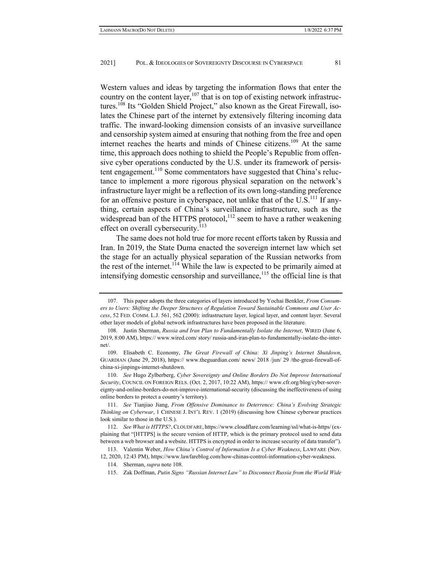Western values and ideas by targeting the information flows that enter the country on the content layer, $107$  that is on top of existing network infrastructures.<sup>108</sup> Its "Golden Shield Project," also known as the Great Firewall, isolates the Chinese part of the internet by extensively filtering incoming data traffic. The inward-looking dimension consists of an invasive surveillance and censorship system aimed at ensuring that nothing from the free and open internet reaches the hearts and minds of Chinese citizens.<sup>109</sup> At the same time, this approach does nothing to shield the People's Republic from offensive cyber operations conducted by the U.S. under its framework of persistent engagement.<sup>110</sup> Some commentators have suggested that China's reluctance to implement a more rigorous physical separation on the network's infrastructure layer might be a reflection of its own long-standing preference for an offensive posture in cyberspace, not unlike that of the  $U.S.<sup>111</sup>$  If anything, certain aspects of China's surveillance infrastructure, such as the widespread ban of the HTTPS protocol, $^{112}$  seem to have a rather weakening effect on overall cybersecurity. $^{113}$ 

The same does not hold true for more recent efforts taken by Russia and Iran. In 2019, the State Duma enacted the sovereign internet law which set the stage for an actually physical separation of the Russian networks from the rest of the internet.<sup>114</sup> While the law is expected to be primarily aimed at intensifying domestic censorship and surveillance, $115$  the official line is that

 <sup>107.</sup> This paper adopts the three categories of layers introduced by Yochai Benkler, *From Consumers to Users: Shifting the Deeper Structures of Regulation Toward Sustainable Commons and User Access*, 52 FED. COMM. L.J. 561, 562 (2000): infrastructure layer, logical layer, and content layer. Several other layer models of global network infrastructures have been proposed in the literature.

 <sup>108.</sup> Justin Sherman, *Russia and Iran Plan to Fundamentally Isolate the Internet*, WIRED (June 6, 2019, 8:00 AM), https:// www.wired.com/ story/ russia-and-iran-plan-to-fundamentally-isolate-the-internet/.

 <sup>109.</sup> Elisabeth C. Economy, *The Great Firewall of China: Xi Jinping's Internet Shutdown*, GUARDIAN (June 29, 2018), https:// www.theguardian.com/ news/ 2018 /jun/ 29 /the-great-firewall-ofchina-xi-jinpings-internet-shutdown.

 <sup>110.</sup> *See* Hugo Zylberberg, *Cyber Sovereignty and Online Borders Do Not Improve International Security*, COUNCIL ON FOREIGN RELS. (Oct. 2, 2017, 10:22 AM), https:// www.cfr.org/blog/cyber-sovereignty-and-online-borders-do-not-improve-international-security (discussing the ineffectiveness of using online borders to protect a country's territory).

 <sup>111.</sup> *See* Tianjiao Jiang, *From Offensive Dominance to Deterrence: China's Evolving Strategic Thinking on Cyberwar*, 1 CHINESE J. INT'L REV. 1 (2019) (discussing how Chinese cyberwar practices look similar to those in the U.S.).

 <sup>112.</sup> *See What is HTTPS?*, CLOUDFARE, https://www.cloudflare.com/learning/ssl/what-is-https/(explaining that "[HTTPS] is the secure version of HTTP, which is the primary protocol used to send data between a web browser and a website. HTTPS is encrypted in order to increase security of data transfer").

 <sup>113.</sup> Valentin Weber, *How China's Control of Information Is a Cyber Weakness*, LAWFARE (Nov. 12, 2020, 12:43 PM), https://www.lawfareblog.com/how-chinas-control-information-cyber-weakness.

 <sup>114.</sup> Sherman, *supra* note 108.

 <sup>115.</sup> Zak Doffman, *Putin Signs "Russian Internet Law" to Disconnect Russia from the World Wide*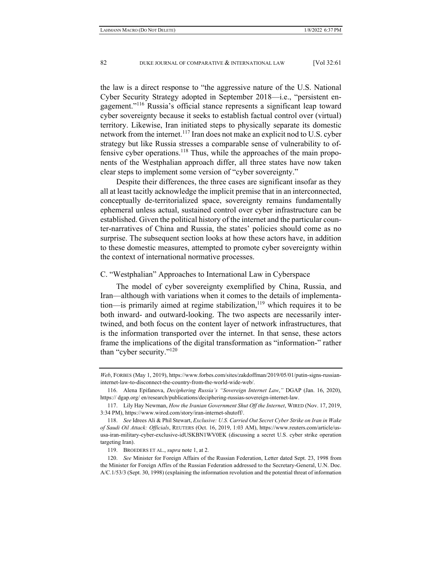the law is a direct response to "the aggressive nature of the U.S. National Cyber Security Strategy adopted in September 2018—i.e., "persistent engagement."116 Russia's official stance represents a significant leap toward cyber sovereignty because it seeks to establish factual control over (virtual) territory. Likewise, Iran initiated steps to physically separate its domestic network from the internet.<sup>117</sup> Iran does not make an explicit nod to U.S. cyber strategy but like Russia stresses a comparable sense of vulnerability to offensive cyber operations.<sup>118</sup> Thus, while the approaches of the main proponents of the Westphalian approach differ, all three states have now taken clear steps to implement some version of "cyber sovereignty."

Despite their differences, the three cases are significant insofar as they all at least tacitly acknowledge the implicit premise that in an interconnected, conceptually de-territorialized space, sovereignty remains fundamentally ephemeral unless actual, sustained control over cyber infrastructure can be established. Given the political history of the internet and the particular counter-narratives of China and Russia, the states' policies should come as no surprise. The subsequent section looks at how these actors have, in addition to these domestic measures, attempted to promote cyber sovereignty within the context of international normative processes.

#### C. "Westphalian" Approaches to International Law in Cyberspace

The model of cyber sovereignty exemplified by China, Russia, and Iran—although with variations when it comes to the details of implementation—is primarily aimed at regime stabilization, $119$  which requires it to be both inward- and outward-looking. The two aspects are necessarily intertwined, and both focus on the content layer of network infrastructures, that is the information transported over the internet. In that sense, these actors frame the implications of the digital transformation as "information-" rather than "cyber security."120

*Web*, FORBES (May 1, 2019), https://www.forbes.com/sites/zakdoffman/2019/05/01/putin-signs-russianinternet-law-to-disconnect-the-country-from-the-world-wide-web/.

 <sup>116.</sup> Alena Epifanova, *Deciphering Russia's "Sovereign Internet Law*,*"* DGAP (Jan. 16, 2020), https:// dgap.org/ en/research/publications/deciphering-russias-sovereign-internet-law.

 <sup>117.</sup> Lily Hay Newman, *How the Iranian Government Shut Off the Internet*, WIRED (Nov. 17, 2019, 3:34 PM), https://www.wired.com/story/iran-internet-shutoff/.

 <sup>118.</sup> *See* Idrees Ali & Phil Stewart, *Exclusive: U.S. Carried Out Secret Cyber Strike on Iran in Wake of Saudi Oil Attack: Officials*, REUTERS (Oct. 16, 2019, 1:03 AM), https://www.reuters.com/article/ususa-iran-military-cyber-exclusive-idUSKBN1WV0EK (discussing a secret U.S. cyber strike operation targeting Iran).

 <sup>119.</sup> BROEDERS ET AL., *supra* note 1, at 2.

 <sup>120.</sup> *See* Minister for Foreign Affairs of the Russian Federation, Letter dated Sept. 23, 1998 from the Minister for Foreign Affirs of the Russian Federation addressed to the Secretary-General, U.N. Doc. A/C.1/53/3 (Sept. 30, 1998) (explaining the information revolution and the potential threat of information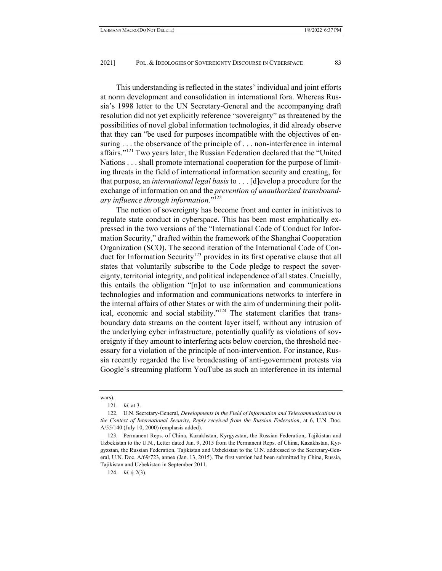This understanding is reflected in the states' individual and joint efforts at norm development and consolidation in international fora. Whereas Russia's 1998 letter to the UN Secretary-General and the accompanying draft resolution did not yet explicitly reference "sovereignty" as threatened by the possibilities of novel global information technologies, it did already observe that they can "be used for purposes incompatible with the objectives of ensuring . . . the observance of the principle of . . . non-interference in internal affairs."<sup>121</sup> Two years later, the Russian Federation declared that the "United" Nations . . . shall promote international cooperation for the purpose of limiting threats in the field of international information security and creating, for that purpose, an *international legal basis* to . . . [d]evelop a procedure for the exchange of information on and the *prevention of unauthorized transboundary influence through information.*"122

The notion of sovereignty has become front and center in initiatives to regulate state conduct in cyberspace. This has been most emphatically expressed in the two versions of the "International Code of Conduct for Information Security," drafted within the framework of the Shanghai Cooperation Organization (SCO). The second iteration of the International Code of Conduct for Information Security<sup>123</sup> provides in its first operative clause that all states that voluntarily subscribe to the Code pledge to respect the sovereignty, territorial integrity, and political independence of all states. Crucially, this entails the obligation "[n]ot to use information and communications technologies and information and communications networks to interfere in the internal affairs of other States or with the aim of undermining their political, economic and social stability."124 The statement clarifies that transboundary data streams on the content layer itself, without any intrusion of the underlying cyber infrastructure, potentially qualify as violations of sovereignty if they amount to interfering acts below coercion, the threshold necessary for a violation of the principle of non-intervention. For instance, Russia recently regarded the live broadcasting of anti-government protests via Google's streaming platform YouTube as such an interference in its internal

124. *Id.* § 2(3).

wars).

 <sup>121.</sup> *Id.* at 3.

 <sup>122.</sup> U.N. Secretary-General, *Developments in the Field of Information and Telecommunications in the Context of International Security*, *Reply received from the Russian Federation*, at 6, U.N. Doc. A/55/140 (July 10, 2000) (emphasis added).

 <sup>123.</sup> Permanent Reps. of China, Kazakhstan, Kyrgyzstan, the Russian Federation, Tajikistan and Uzbekistan to the U.N., Letter dated Jan. 9, 2015 from the Permanent Reps. of China, Kazakhstan, Kyrgyzstan, the Russian Federation, Tajikistan and Uzbekistan to the U.N. addressed to the Secretary-General, U.N. Doc. A/69/723, annex (Jan. 13, 2015). The first version had been submitted by China, Russia, Tajikistan and Uzbekistan in September 2011.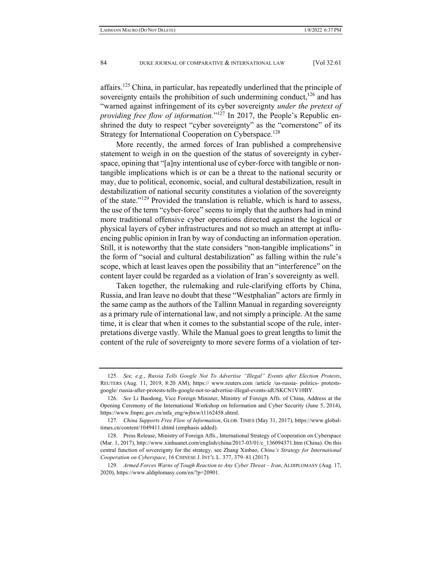affairs.<sup>125</sup> China, in particular, has repeatedly underlined that the principle of sovereignty entails the prohibition of such undermining conduct,  $126$  and has "warned against infringement of its cyber sovereignty *under the pretext of providing free flow of information.*"<sup>127</sup> In 2017, the People's Republic enshrined the duty to respect "cyber sovereignty" as the "cornerstone" of its Strategy for International Cooperation on Cyberspace.<sup>128</sup>

More recently, the armed forces of Iran published a comprehensive statement to weigh in on the question of the status of sovereignty in cyberspace, opining that "[a]ny intentional use of cyber-force with tangible or nontangible implications which is or can be a threat to the national security or may, due to political, economic, social, and cultural destabilization, result in destabilization of national security constitutes a violation of the sovereignty of the state."129 Provided the translation is reliable, which is hard to assess, the use of the term "cyber-force" seems to imply that the authors had in mind more traditional offensive cyber operations directed against the logical or physical layers of cyber infrastructures and not so much an attempt at influencing public opinion in Iran by way of conducting an information operation. Still, it is noteworthy that the state considers "non-tangible implications" in the form of "social and cultural destabilization" as falling within the rule's scope, which at least leaves open the possibility that an "interference" on the content layer could be regarded as a violation of Iran's sovereignty as well.

Taken together, the rulemaking and rule-clarifying efforts by China, Russia, and Iran leave no doubt that these "Westphalian" actors are firmly in the same camp as the authors of the Tallinn Manual in regarding sovereignty as a primary rule of international law, and not simply a principle. At the same time, it is clear that when it comes to the substantial scope of the rule, interpretations diverge vastly. While the Manual goes to great lengths to limit the content of the rule of sovereignty to more severe forms of a violation of ter-

 <sup>125.</sup> *See, e.g.*, *Russia Tells Google Not To Advertise "Illegal" Events after Election Protests*, REUTERS (Aug. 11, 2019, 8:20 AM), https:// www.reuters.com /article /us-russia- politics- protestsgoogle/ russia-after-protests-tells-google-not-to-advertise-illegal-events-idUSKCN1V10BY.

 <sup>126.</sup> *See* Li Baodong, Vice Foreign Minister, Ministry of Foreign Affs. of China, Address at the Opening Ceremony of the International Workshop on Information and Cyber Security (June 5, 2014), https://www.fmprc.gov.cn/mfa\_eng/wjbxw/t1162458.shtml.

 <sup>127.</sup> *China Supports Free Flow of Information*, GLOB. TIMES (May 31, 2017), https://www.globaltimes.cn/content/1049411.shtml (emphasis added).

 <sup>128.</sup> Press Release, Ministry of Foreign Affs., International Strategy of Cooperation on Cyberspace (Mar. 1, 2017), http://www.xinhuanet.com/english/china/2017-03/01/c\_136094371.htm (China). On this central function of sovereignty for the strategy, see Zhang Xinbao, *China's Strategy for International Cooperation on Cyberspace*, 16 CHINESE J. INT'L L. 377, 379–81 (2017).

 <sup>129.</sup> *Armed Forces Warns of Tough Reaction to Any Cyber Threat – Iran*, ALDIPLOMASY (Aug. 17, 2020), https://www.aldiplomasy.com/en/?p=20901.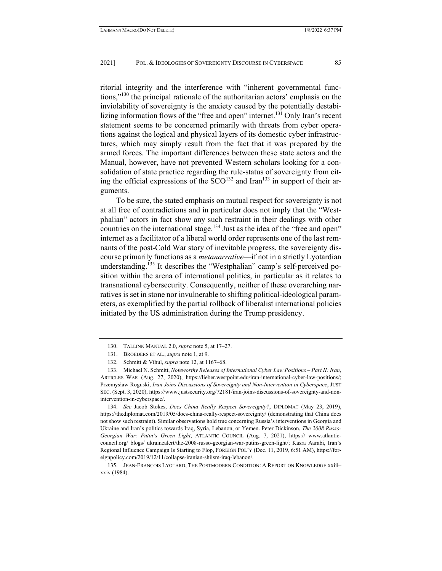ritorial integrity and the interference with "inherent governmental functions,"<sup>130</sup> the principal rationale of the authoritarian actors' emphasis on the inviolability of sovereignty is the anxiety caused by the potentially destabilizing information flows of the "free and open" internet.<sup>131</sup> Only Iran's recent statement seems to be concerned primarily with threats from cyber operations against the logical and physical layers of its domestic cyber infrastructures, which may simply result from the fact that it was prepared by the armed forces. The important differences between these state actors and the Manual, however, have not prevented Western scholars looking for a consolidation of state practice regarding the rule-status of sovereignty from citing the official expressions of the  $SCO<sup>132</sup>$  and Iran<sup>133</sup> in support of their arguments.

To be sure, the stated emphasis on mutual respect for sovereignty is not at all free of contradictions and in particular does not imply that the "Westphalian" actors in fact show any such restraint in their dealings with other countries on the international stage.<sup>134</sup> Just as the idea of the "free and open" internet as a facilitator of a liberal world order represents one of the last remnants of the post-Cold War story of inevitable progress, the sovereignty discourse primarily functions as a *metanarrative*—if not in a strictly Lyotardian understanding.<sup>135</sup> It describes the "Westphalian" camp's self-perceived position within the arena of international politics, in particular as it relates to transnational cybersecurity. Consequently, neither of these overarching narratives is set in stone nor invulnerable to shifting political-ideological parameters, as exemplified by the partial rollback of liberalist international policies initiated by the US administration during the Trump presidency.

 134. *See* Jacob Stokes, *Does China Really Respect Sovereignty?*, DIPLOMAT (May 23, 2019), https://thediplomat.com/2019/05/does-china-really-respect-sovereignty/ (demonstrating that China does not show such restraint). Similar observations hold true concerning Russia's interventions in Georgia and Ukraine and Iran's politics towards Iraq, Syria, Lebanon, or Yemen. Peter Dickinson, *The 2008 Russo-Georgian War: Putin's Green Light*, ATLANTIC COUNCIL (Aug. 7, 2021), https:// www.atlanticcouncil.org/ blogs/ ukrainealert/the-2008-russo-georgian-war-putins-green-light/; Kasra Aarabi, Iran's Regional Influence Campaign Is Starting to Flop, FOREIGN POL'Y (Dec. 11, 2019, 6:51 AM), https://foreignpolicy.com/2019/12/11/collapse-iranian-shiism-iraq-lebanon/.

 <sup>130.</sup> TALLINN MANUAL 2.0, *supra* note 5, at 17–27.

 <sup>131.</sup> BROEDERS ET AL., *supra* note 1, at 9.

 <sup>132.</sup> Schmitt & Vihul, *supra* note 12, at 1167–68.

 <sup>133.</sup> Michael N. Schmitt, *Noteworthy Releases of International Cyber Law Positions – Part II: Iran*, ARTICLES WAR (Aug. 27, 2020), https://lieber.westpoint.edu/iran-international-cyber-law-positions/; Przemysław Roguski, *Iran Joins Discussions of Sovereignty and Non-Intervention in Cyberspace*, JUST SEC. (Sept. 3, 2020), https://www.justsecurity.org/72181/iran-joins-discussions-of-sovereignty-and-nonintervention-in-cyberspace/.

 <sup>135.</sup> JEAN-FRANÇOIS LYOTARD, THE POSTMODERN CONDITION: A REPORT ON KNOWLEDGE xxiii– xxiv (1984).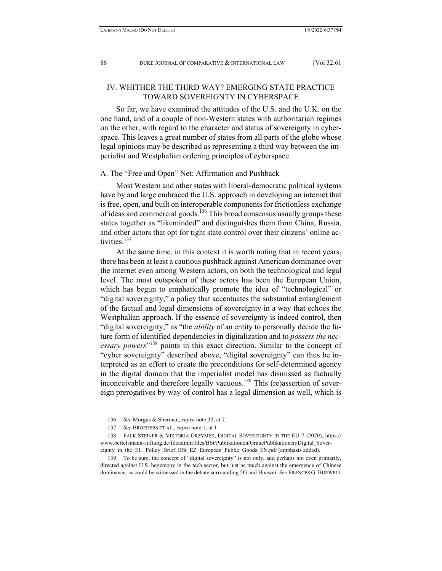# IV. WHITHER THE THIRD WAY? EMERGING STATE PRACTICE TOWARD SOVEREIGNTY IN CYBERSPACE

So far, we have examined the attitudes of the U.S. and the U.K. on the one hand, and of a couple of non-Western states with authoritarian regimes on the other, with regard to the character and status of sovereignty in cyberspace. This leaves a great number of states from all parts of the globe whose legal opinions may be described as representing a third way between the imperialist and Westphalian ordering principles of cyberspace.

#### A. The "Free and Open" Net: Affirmation and Pushback

Most Western and other states with liberal-democratic political systems have by and large embraced the U.S. approach in developing an internet that is free, open, and built on interoperable components for frictionless exchange of ideas and commercial goods.136 This broad consensus usually groups these states together as "likeminded" and distinguishes them from China, Russia, and other actors that opt for tight state control over their citizens' online activities.<sup>137</sup>

At the same time, in this context it is worth noting that in recent years, there has been at least a cautious pushback against American dominance over the internet even among Western actors, on both the technological and legal level. The most outspoken of these actors has been the European Union, which has begun to emphatically promote the idea of "technological" or "digital sovereignty," a policy that accentuates the substantial entanglement of the factual and legal dimensions of sovereignty in a way that echoes the Westphalian approach. If the essence of sovereignty is indeed control, then "digital sovereignty," as "the *ability* of an entity to personally decide the future form of identified dependencies in digitalization and to *possess the necessary powers*"138 points in this exact direction. Similar to the concept of "cyber sovereignty" described above, "digital sovereignty" can thus be interpreted as an effort to create the preconditions for self-determined agency in the digital domain that the imperialist model has dismissed as factually inconceivable and therefore legally vacuous.<sup>139</sup> This (re)assertion of sovereign prerogatives by way of control has a legal dimension as well, which is

 <sup>136.</sup> *See* Morgus & Sherman, *supra* note 32, at 7.

 <sup>137.</sup> *See* BROEDERS ET AL., *supra* note 1, at 1.

 <sup>138.</sup> FALK STEINER & VIKTORIA GRZYMEK, DIGITAL SOVEREIGNTY IN THE EU 7 (2020), https:// www.bertelsmann-stiftung.de/fileadmin/files/BSt/Publikationen/GrauePublikationen/Digital\_Sovereignty\_in\_the\_EU\_Policy\_Brief\_BSt\_EZ\_European\_Public\_Goods\_EN.pdf (emphasis added).

 <sup>139.</sup> To be sure, the concept of "digital sovereignty" is not only, and perhaps not even primarily, directed against U.S. hegemony in the tech sector, but just as much against the emergence of Chinese dominance, as could be witnessed in the debate surrounding 5G and Huawei. *See* FRANCES G. BURWELL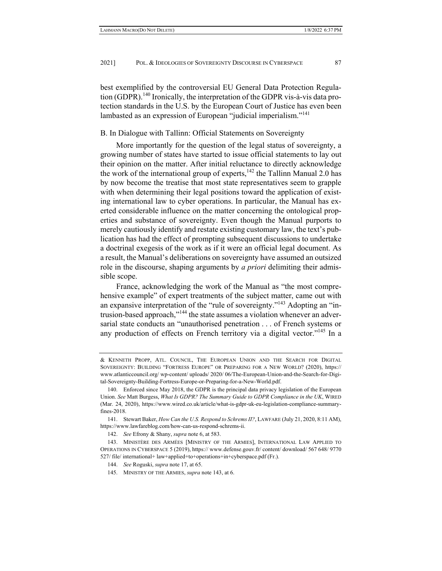best exemplified by the controversial EU General Data Protection Regulation (GDPR).<sup>140</sup> Ironically, the interpretation of the GDPR vis-à-vis data protection standards in the U.S. by the European Court of Justice has even been lambasted as an expression of European "judicial imperialism."<sup>141</sup>

## B. In Dialogue with Tallinn: Official Statements on Sovereignty

More importantly for the question of the legal status of sovereignty, a growing number of states have started to issue official statements to lay out their opinion on the matter. After initial reluctance to directly acknowledge the work of the international group of experts, $142$  the Tallinn Manual 2.0 has by now become the treatise that most state representatives seem to grapple with when determining their legal positions toward the application of existing international law to cyber operations. In particular, the Manual has exerted considerable influence on the matter concerning the ontological properties and substance of sovereignty. Even though the Manual purports to merely cautiously identify and restate existing customary law, the text's publication has had the effect of prompting subsequent discussions to undertake a doctrinal exegesis of the work as if it were an official legal document. As a result, the Manual's deliberations on sovereignty have assumed an outsized role in the discourse, shaping arguments by *a priori* delimiting their admissible scope.

France, acknowledging the work of the Manual as "the most comprehensive example" of expert treatments of the subject matter, came out with an expansive interpretation of the "rule of sovereignty."143 Adopting an "intrusion-based approach,"<sup>144</sup> the state assumes a violation whenever an adversarial state conducts an "unauthorised penetration . . . of French systems or any production of effects on French territory via a digital vector."<sup>145</sup> In a

<sup>&</sup>amp; KENNETH PROPP, ATL. COUNCIL, THE EUROPEAN UNION AND THE SEARCH FOR DIGITAL SOVEREIGNTY: BUILDING "FORTRESS EUROPE" OR PREPARING FOR A NEW WORLD? (2020), https:// www.atlanticcouncil.org/ wp-content/ uploads/ 2020/ 06/The-European-Union-and-the-Search-for-Digital-Sovereignty-Building-Fortress-Europe-or-Preparing-for-a-New-World.pdf.

 <sup>140.</sup> Enforced since May 2018, the GDPR is the principal data privacy legislation of the European Union. *See* Matt Burgess, *What Is GDPR? The Summary Guide to GDPR Compliance in the UK*, WIRED (Mar. 24, 2020), https://www.wired.co.uk/article/what-is-gdpr-uk-eu-legislation-compliance-summaryfines-2018.

 <sup>141.</sup> Stewart Baker, *How Can the U.S. Respond to Schrems II?*, LAWFARE (July 21, 2020, 8:11 AM), https://www.lawfareblog.com/how-can-us-respond-schrems-ii.

 <sup>142.</sup> *See* Efrony & Shany, *supra* note 6, at 583.

 <sup>143.</sup> MINISTÈRE DES ARMÉES [MINISTRY OF THE ARMIES], INTERNATIONAL LAW APPLIED TO OPERATIONS IN CYBERSPACE 5 (2019), https:// www.defense.gouv.fr/ content/ download/ 567 648/ 9770 527/ file/ international+ law+applied+to+operations+in+cyberspace.pdf (Fr.).

 <sup>144.</sup> *See* Roguski, *supra* note 17, at 65.

 <sup>145.</sup> MINISTRY OF THE ARMIES, *supra* note 143, at 6.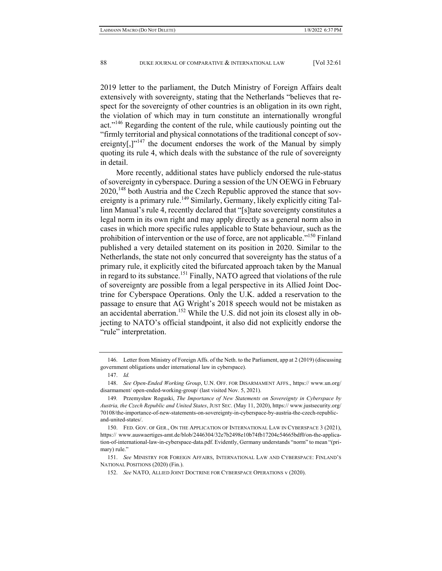2019 letter to the parliament, the Dutch Ministry of Foreign Affairs dealt extensively with sovereignty, stating that the Netherlands "believes that respect for the sovereignty of other countries is an obligation in its own right, the violation of which may in turn constitute an internationally wrongful act."<sup>146</sup> Regarding the content of the rule, while cautiously pointing out the "firmly territorial and physical connotations of the traditional concept of sovereignty[,] $v<sup>147</sup>$  the document endorses the work of the Manual by simply quoting its rule 4, which deals with the substance of the rule of sovereignty in detail.

More recently, additional states have publicly endorsed the rule-status of sovereignty in cyberspace. During a session of the UN OEWG in February  $2020$ ,<sup>148</sup> both Austria and the Czech Republic approved the stance that sovereignty is a primary rule.<sup>149</sup> Similarly, Germany, likely explicitly citing Tallinn Manual's rule 4, recently declared that "[s]tate sovereignty constitutes a legal norm in its own right and may apply directly as a general norm also in cases in which more specific rules applicable to State behaviour, such as the prohibition of intervention or the use of force, are not applicable."<sup>150</sup> Finland published a very detailed statement on its position in 2020. Similar to the Netherlands, the state not only concurred that sovereignty has the status of a primary rule, it explicitly cited the bifurcated approach taken by the Manual in regard to its substance.<sup>151</sup> Finally, NATO agreed that violations of the rule of sovereignty are possible from a legal perspective in its Allied Joint Doctrine for Cyberspace Operations. Only the U.K. added a reservation to the passage to ensure that AG Wright's 2018 speech would not be mistaken as an accidental aberration.<sup>152</sup> While the U.S. did not join its closest ally in objecting to NATO's official standpoint, it also did not explicitly endorse the "rule" interpretation.

 <sup>146.</sup> Letter from Ministry of Foreign Affs. of the Neth. to the Parliament, app at 2 (2019) (discussing government obligations under international law in cyberspace).

 <sup>147.</sup> *Id.*

 <sup>148.</sup> *See Open-Ended Working Group*, U.N. OFF. FOR DISARMAMENT AFFS., https:// www.un.org/ disarmament/ open-ended-working-group/ (last visited Nov. 5, 2021).

<sup>149</sup>*.* Przemysław Roguski, *The Importance of New Statements on Sovereignty in Cyberspace by Austria, the Czech Republic and United States*, JUST SEC. (May 11, 2020), https:// www.justsecurity.org/ 70108/the-importance-of-new-statements-on-sovereignty-in-cyberspace-by-austria-the-czech-republicand-united-states/.

 <sup>150.</sup> FED. GOV. OF GER., ON THE APPLICATION OF INTERNATIONAL LAW IN CYBERSPACE 3 (2021), https:// www.auswaertiges-amt.de/blob/2446304/32e7b2498e10b74fb17204c54665bdf0/on-the-application-of-international-law-in-cyberspace-data.pdf. Evidently, Germany understands "norm" to mean "(primary) rule."

 <sup>151.</sup> *See* MINISTRY FOR FOREIGN AFFAIRS, INTERNATIONAL LAW AND CYBERSPACE: FINLAND'S NATIONAL POSITIONS (2020) (Fin.).

 <sup>152.</sup> *See* NATO, ALLIED JOINT DOCTRINE FOR CYBERSPACE OPERATIONS v (2020).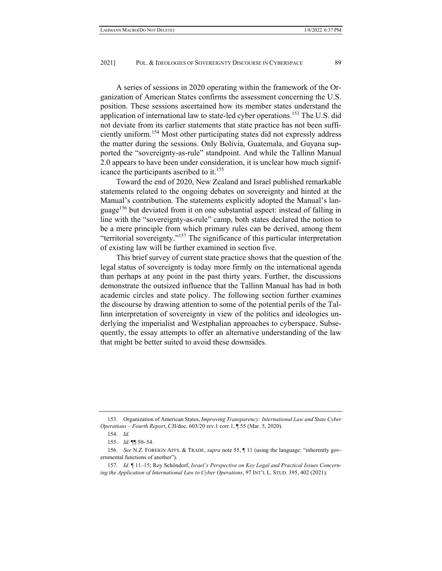A series of sessions in 2020 operating within the framework of the Organization of American States confirms the assessment concerning the U.S. position. These sessions ascertained how its member states understand the application of international law to state-led cyber operations.<sup>153</sup> The U.S. did not deviate from its earlier statements that state practice has not been sufficiently uniform.154 Most other participating states did not expressly address the matter during the sessions. Only Bolivia, Guatemala, and Guyana supported the "sovereignty-as-rule" standpoint. And while the Tallinn Manual 2.0 appears to have been under consideration, it is unclear how much significance the participants ascribed to it.<sup>155</sup>

Toward the end of 2020, New Zealand and Israel published remarkable statements related to the ongoing debates on sovereignty and hinted at the Manual's contribution. The statements explicitly adopted the Manual's language156 but deviated from it on one substantial aspect: instead of falling in line with the "sovereignty-as-rule" camp, both states declared the notion to be a mere principle from which primary rules can be derived, among them "territorial sovereignty."157 The significance of this particular interpretation of existing law will be further examined in section five.

This brief survey of current state practice shows that the question of the legal status of sovereignty is today more firmly on the international agenda than perhaps at any point in the past thirty years. Further, the discussions demonstrate the outsized influence that the Tallinn Manual has had in both academic circles and state policy. The following section further examines the discourse by drawing attention to some of the potential perils of the Tallinn interpretation of sovereignty in view of the politics and ideologies underlying the imperialist and Westphalian approaches to cyberspace. Subsequently, the essay attempts to offer an alternative understanding of the law that might be better suited to avoid these downsides.

 <sup>153.</sup> Organization of American States, *Improving Transparency: International Law and State Cyber Operations – Fourth Report*, CJI/doc. 603/20 rev.1 corr.1, ¶ 55 (Mar. 5, 2020).

 <sup>154.</sup> *Id.* 

 <sup>155.</sup> *Id.* ¶¶ 50–54.

 <sup>156.</sup> *See* N.Z. FOREIGN AFFS. & TRADE, *supra* note 55, ¶ 11 (using the language: "inherently governmental functions of another").

 <sup>157.</sup> *Id.* ¶ 11–15; Roy Schöndorf, *Israel's Perspective on Key Legal and Practical Issues Concerning the Application of International Law to Cyber Operations*, 97 INT'L L. STUD. 395, 402 (2021).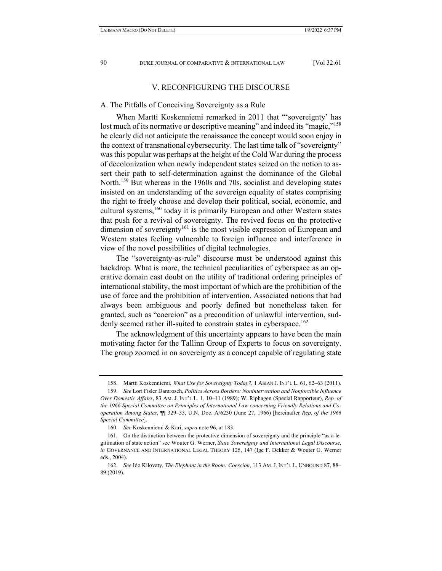## V. RECONFIGURING THE DISCOURSE

## A. The Pitfalls of Conceiving Sovereignty as a Rule

When Martti Koskenniemi remarked in 2011 that "'sovereignty' has lost much of its normative or descriptive meaning" and indeed its "magic,"<sup>158</sup> he clearly did not anticipate the renaissance the concept would soon enjoy in the context of transnational cybersecurity. The last time talk of "sovereignty" was this popular was perhaps at the height of the Cold War during the process of decolonization when newly independent states seized on the notion to assert their path to self-determination against the dominance of the Global North.<sup>159</sup> But whereas in the 1960s and 70s, socialist and developing states insisted on an understanding of the sovereign equality of states comprising the right to freely choose and develop their political, social, economic, and cultural systems,<sup>160</sup> today it is primarily European and other Western states that push for a revival of sovereignty. The revived focus on the protective dimension of sovereignty<sup>161</sup> is the most visible expression of European and Western states feeling vulnerable to foreign influence and interference in view of the novel possibilities of digital technologies.

The "sovereignty-as-rule" discourse must be understood against this backdrop. What is more, the technical peculiarities of cyberspace as an operative domain cast doubt on the utility of traditional ordering principles of international stability, the most important of which are the prohibition of the use of force and the prohibition of intervention. Associated notions that had always been ambiguous and poorly defined but nonetheless taken for granted, such as "coercion" as a precondition of unlawful intervention, suddenly seemed rather ill-suited to constrain states in cyberspace.<sup>162</sup>

The acknowledgment of this uncertainty appears to have been the main motivating factor for the Tallinn Group of Experts to focus on sovereignty. The group zoomed in on sovereignty as a concept capable of regulating state

 <sup>158.</sup> Martti Koskenniemi, *What Use for Sovereignty Today?*, 1 ASIAN J. INT'L L. 61, 62–63 (2011).

 <sup>159.</sup> *See* Lori Fisler Damrosch, *Politics Across Borders: Nonintervention and Nonforcible Influence Over Domestic Affairs*, 83 AM. J. INT'L L. 1, 10–11 (1989); W. Riphagen (Special Rapporteur), *Rep. of the 1966 Special Committee on Principles of International Law concerning Friendly Relations and Cooperation Among States*, ¶¶ 329–33, U.N. Doc. A/6230 (June 27, 1966) [hereinafter *Rep. of the 1966 Special Committee*].

 <sup>160.</sup> *See* Koskenniemi & Kari, *supra* note 96, at 183.

 <sup>161.</sup> On the distinction between the protective dimension of sovereignty and the principle "as a legitimation of state action" see Wouter G. Werner, *State Sovereignty and International Legal Discourse*, *in* GOVERNANCE AND INTERNATIONAL LEGAL THEORY 125, 147 (Ige F. Dekker & Wouter G. Werner eds., 2004).

 <sup>162.</sup> *See* Ido Kilovaty, *The Elephant in the Room: Coercion*, 113 AM.J. INT'L L. UNBOUND 87, 88– 89 (2019).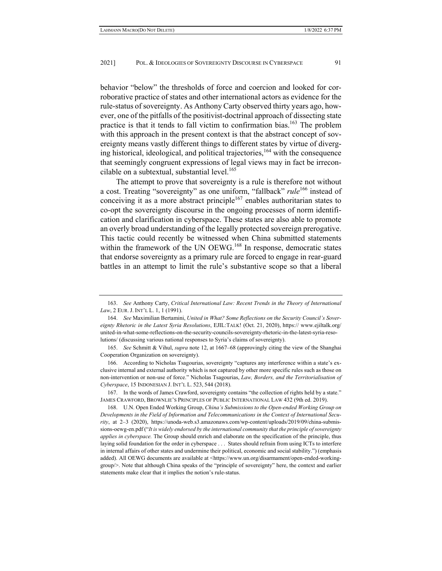behavior "below" the thresholds of force and coercion and looked for corroborative practice of states and other international actors as evidence for the rule-status of sovereignty. As Anthony Carty observed thirty years ago, however, one of the pitfalls of the positivist-doctrinal approach of dissecting state practice is that it tends to fall victim to confirmation bias.<sup>163</sup> The problem with this approach in the present context is that the abstract concept of sovereignty means vastly different things to different states by virtue of diverging historical, ideological, and political trajectories,  $164$  with the consequence that seemingly congruent expressions of legal views may in fact be irreconcilable on a subtextual, substantial level. $165$ 

The attempt to prove that sovereignty is a rule is therefore not without a cost. Treating "sovereignty" as one uniform, "fallback" *rule*166 instead of conceiving it as a more abstract principle<sup>167</sup> enables authoritarian states to co-opt the sovereignty discourse in the ongoing processes of norm identification and clarification in cyberspace. These states are also able to promote an overly broad understanding of the legally protected sovereign prerogative. This tactic could recently be witnessed when China submitted statements within the framework of the UN OEWG.<sup>168</sup> In response, democratic states that endorse sovereignty as a primary rule are forced to engage in rear-guard battles in an attempt to limit the rule's substantive scope so that a liberal

 <sup>163.</sup> *See* Anthony Carty, *Critical International Law: Recent Trends in the Theory of International Law*, 2 EUR. J. INT'L L. 1, 1 (1991).

 <sup>164.</sup> *See* Maximilian Bertamini, *United in What? Some Reflections on the Security Council's Sovereignty Rhetoric in the Latest Syria Resolutions*, EJIL:TALK! (Oct. 21, 2020), https:// www.ejiltalk.org/ united-in-what-some-reflections-on-the-security-councils-sovereignty-rhetoric-in-the-latest-syria-resolutions/ (discussing various national responses to Syria's claims of sovereignty).

 <sup>165.</sup> *See* Schmitt & Vihul, *supra* note 12, at 1667–68 (approvingly citing the view of the Shanghai Cooperation Organization on sovereignty).

 <sup>166.</sup> According to Nicholas Tsagourias, sovereignty "captures any interference within a state's exclusive internal and external authority which is not captured by other more specific rules such as those on non-intervention or non-use of force." Nicholas Tsagourias, *Law, Borders, and the Territorialisation of Cyberspace*, 15 INDONESIAN J. INT'L L. 523, 544 (2018).

 <sup>167.</sup> In the words of James Crawford, sovereignty contains "the collection of rights held by a state." JAMES CRAWFORD, BROWNLIE'S PRINCIPLES OF PUBLIC INTERNATIONAL LAW 432 (9th ed. 2019).

 <sup>168.</sup> U.N. Open Ended Working Group, *China's Submissions to the Open-ended Working Group on Developments in the Field of Information and Telecommunications in the Context of International Security*, at 2–3 (2020), https://unoda-web.s3.amazonaws.com/wp-content/uploads/2019/09/china-submissions-oewg-en.pdf ("*It is widely endorsed by the international community that the principle of sovereignty applies in cyberspace.* The Group should enrich and elaborate on the specification of the principle, thus laying solid foundation for the order in cyberspace . . . States should refrain from using ICTs to interfere in internal affairs of other states and undermine their political, economic and social stability.") (emphasis added). All OEWG documents are available at <https://www.un.org/disarmament/open-ended-workinggroup/>. Note that although China speaks of the "principle of sovereignty" here, the context and earlier statements make clear that it implies the notion's rule-status.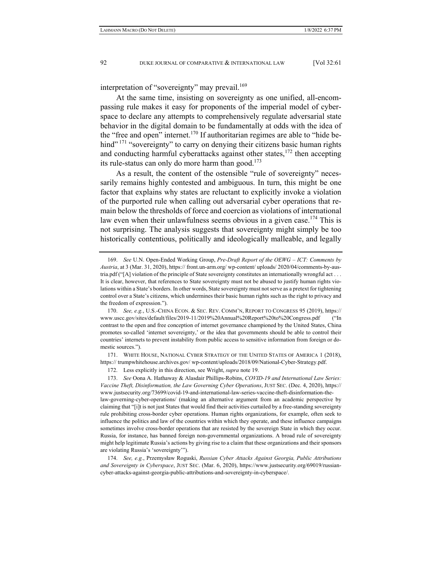interpretation of "sovereignty" may prevail.<sup>169</sup>

At the same time, insisting on sovereignty as one unified, all-encompassing rule makes it easy for proponents of the imperial model of cyberspace to declare any attempts to comprehensively regulate adversarial state behavior in the digital domain to be fundamentally at odds with the idea of the "free and open" internet.<sup>170</sup> If authoritarian regimes are able to "hide behind"<sup>171</sup> "sovereignty" to carry on denying their citizens basic human rights and conducting harmful cyberattacks against other states,  $172$  then accepting its rule-status can only do more harm than good.<sup>173</sup>

As a result, the content of the ostensible "rule of sovereignty" necessarily remains highly contested and ambiguous. In turn, this might be one factor that explains why states are reluctant to explicitly invoke a violation of the purported rule when calling out adversarial cyber operations that remain below the thresholds of force and coercion as violations of international law even when their unlawfulness seems obvious in a given case.<sup>174</sup> This is not surprising. The analysis suggests that sovereignty might simply be too historically contentious, politically and ideologically malleable, and legally

 171. WHITE HOUSE, NATIONAL CYBER STRATEGY OF THE UNITED STATES OF AMERICA 1 (2018), https:// trumpwhitehouse.archives.gov/ wp-content/uploads/2018/09/National-Cyber-Strategy.pdf.

 174. *See, e.g.*, Przemysław Roguski, *Russian Cyber Attacks Against Georgia, Public Attributions and Sovereignty in Cyberspace*, JUST SEC. (Mar. 6, 2020), https://www.justsecurity.org/69019/russiancyber-attacks-against-georgia-public-attributions-and-sovereignty-in-cyberspace/.

 <sup>169.</sup> *See* U.N. Open-Ended Working Group, *Pre-Draft Report of the OEWG – ICT: Comments by Austria*, at 3 (Mar. 31, 2020), https:// front.un-arm.org/ wp-content/ uploads/ 2020/04/comments-by-austria.pdf ("[A] violation of the principle of State sovereignty constitutes an internationally wrongful act . . . It is clear, however, that references to State sovereignty must not be abused to justify human rights violations within a State's borders. In other words, State sovereignty must not serve as a pretext for tightening control over a State's citizens, which undermines their basic human rights such as the right to privacy and the freedom of expression.").

 <sup>170.</sup> *See, e.g.*, U.S.-CHINA ECON. & SEC. REV. COMM'N, REPORT TO CONGRESS 95 (2019), https:// www.uscc.gov/sites/default/files/2019-11/2019%20Annual%20Report%20to%20Congress.pdf ("In contrast to the open and free conception of internet governance championed by the United States, China promotes so-called 'internet sovereignty,' or the idea that governments should be able to control their countries' internets to prevent instability from public access to sensitive information from foreign or domestic sources.").

 <sup>172.</sup> Less explicitly in this direction, see Wright, *supra* note 19.

 <sup>173.</sup> *See* Oona A. Hathaway & Alasdair Phillips-Robins, *COVID-19 and International Law Series: Vaccine Theft, Disinformation, the Law Governing Cyber Operations*, JUST SEC. (Dec. 4, 2020), https:// www.justsecurity.org/73699/covid-19-and-international-law-series-vaccine-theft-disinformation-thelaw-governing-cyber-operations/ (making an alternative argument from an academic perspective by claiming that "[i]t is not just States that would find their activities curtailed by a free-standing sovereignty rule prohibiting cross-border cyber operations. Human rights organizations, for example, often seek to influence the politics and law of the countries within which they operate, and these influence campaigns sometimes involve cross-border operations that are resisted by the sovereign State in which they occur. Russia, for instance, has banned foreign non-governmental organizations. A broad rule of sovereignty might help legitimate Russia's actions by giving rise to a claim that these organizations and their sponsors are violating Russia's 'sovereignty'").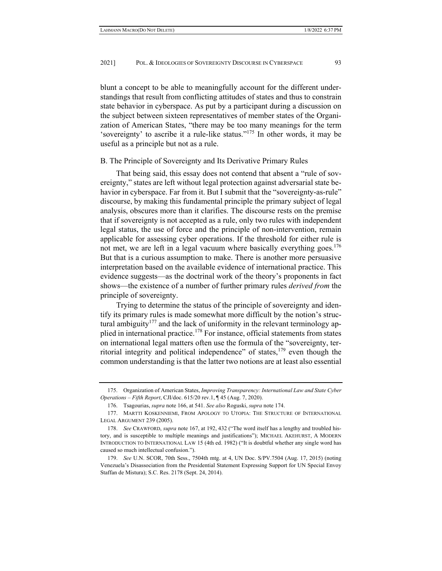blunt a concept to be able to meaningfully account for the different understandings that result from conflicting attitudes of states and thus to constrain state behavior in cyberspace. As put by a participant during a discussion on the subject between sixteen representatives of member states of the Organization of American States, "there may be too many meanings for the term 'sovereignty' to ascribe it a rule-like status."175 In other words, it may be useful as a principle but not as a rule.

#### B. The Principle of Sovereignty and Its Derivative Primary Rules

That being said, this essay does not contend that absent a "rule of sovereignty," states are left without legal protection against adversarial state behavior in cyberspace. Far from it. But I submit that the "sovereignty-as-rule" discourse, by making this fundamental principle the primary subject of legal analysis, obscures more than it clarifies. The discourse rests on the premise that if sovereignty is not accepted as a rule, only two rules with independent legal status, the use of force and the principle of non-intervention, remain applicable for assessing cyber operations. If the threshold for either rule is not met, we are left in a legal vacuum where basically everything goes.<sup>176</sup> But that is a curious assumption to make. There is another more persuasive interpretation based on the available evidence of international practice. This evidence suggests—as the doctrinal work of the theory's proponents in fact shows—the existence of a number of further primary rules *derived from* the principle of sovereignty.

Trying to determine the status of the principle of sovereignty and identify its primary rules is made somewhat more difficult by the notion's structural ambiguity<sup>177</sup> and the lack of uniformity in the relevant terminology applied in international practice.<sup>178</sup> For instance, official statements from states on international legal matters often use the formula of the "sovereignty, territorial integrity and political independence" of states,  $179$  even though the common understanding is that the latter two notions are at least also essential

 <sup>175.</sup> Organization of American States, *Improving Transparency: International Law and State Cyber Operations – Fifth Report*, CJI/doc. 615/20 rev.1, ¶ 45 (Aug. 7, 2020).

 <sup>176.</sup> Tsagourias, *supra* note 166, at 541. *See also* Roguski, *supra* note 174.

 <sup>177.</sup> MARTTI KOSKENNIEMI, FROM APOLOGY TO UTOPIA: THE STRUCTURE OF INTERNATIONAL LEGAL ARGUMENT 239 (2005).

 <sup>178.</sup> *See* CRAWFORD, *supra* note 167, at 192, 432 ("The word itself has a lengthy and troubled history, and is susceptible to multiple meanings and justifications"); MICHAEL AKEHURST, A MODERN INTRODUCTION TO INTERNATIONAL LAW 15 (4th ed. 1982) ("It is doubtful whether any single word has caused so much intellectual confusion.").

 <sup>179.</sup> *See* U.N. SCOR, 70th Sess., 7504th mtg. at 4, UN Doc. S/PV.7504 (Aug. 17, 2015) (noting Venezuela's Disassociation from the Presidential Statement Expressing Support for UN Special Envoy Staffan de Mistura); S.C. Res. 2178 (Sept. 24, 2014).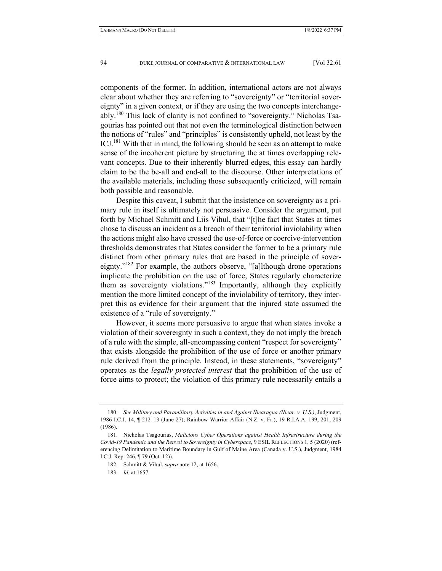components of the former. In addition, international actors are not always clear about whether they are referring to "sovereignty" or "territorial sovereignty" in a given context, or if they are using the two concepts interchangeably.<sup>180</sup> This lack of clarity is not confined to "sovereignty." Nicholas Tsagourias has pointed out that not even the terminological distinction between the notions of "rules" and "principles" is consistently upheld, not least by the ICJ.<sup>181</sup> With that in mind, the following should be seen as an attempt to make sense of the incoherent picture by structuring the at times overlapping relevant concepts. Due to their inherently blurred edges, this essay can hardly claim to be the be-all and end-all to the discourse. Other interpretations of the available materials, including those subsequently criticized, will remain both possible and reasonable.

Despite this caveat, I submit that the insistence on sovereignty as a primary rule in itself is ultimately not persuasive. Consider the argument, put forth by Michael Schmitt and Liis Vihul, that "[t]he fact that States at times chose to discuss an incident as a breach of their territorial inviolability when the actions might also have crossed the use-of-force or coercive-intervention thresholds demonstrates that States consider the former to be a primary rule distinct from other primary rules that are based in the principle of sovereignty."<sup>182</sup> For example, the authors observe, "[a]lthough drone operations implicate the prohibition on the use of force, States regularly characterize them as sovereignty violations."<sup>183</sup> Importantly, although they explicitly mention the more limited concept of the inviolability of territory, they interpret this as evidence for their argument that the injured state assumed the existence of a "rule of sovereignty."

However, it seems more persuasive to argue that when states invoke a violation of their sovereignty in such a context, they do not imply the breach of a rule with the simple, all-encompassing content "respect for sovereignty" that exists alongside the prohibition of the use of force or another primary rule derived from the principle. Instead, in these statements, "sovereignty" operates as the *legally protected interest* that the prohibition of the use of force aims to protect; the violation of this primary rule necessarily entails a

 <sup>180.</sup> *See Military and Paramilitary Activities in and Against Nicaragua (Nicar. v. U.S.)*, Judgment, 1986 I.C.J. 14, ¶ 212–13 (June 27); Rainbow Warrior Affair (N.Z. v. Fr.), 19 R.I.A.A. 199, 201, 209 (1986).

 <sup>181.</sup> Nicholas Tsagourias, *Malicious Cyber Operations against Health Infrastructure during the Covid-19 Pandemic and the Renvoi to Sovereignty in Cyberspace*, 9 ESIL REFLECTIONS 1, 5 (2020) (referencing Delimitation to Maritime Boundary in Gulf of Maine Area (Canada v. U.S.), Judgment, 1984 I.C.J. Rep. 246, ¶ 79 (Oct. 12)).

 <sup>182.</sup> Schmitt & Vihul, *supra* note 12, at 1656.

 <sup>183.</sup> *Id.* at 1657.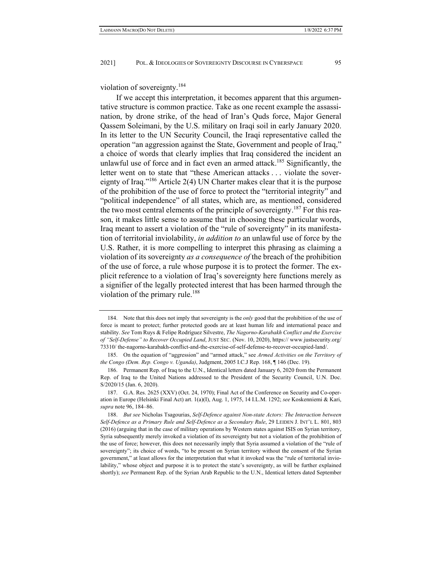violation of sovereignty.<sup>184</sup>

If we accept this interpretation, it becomes apparent that this argumentative structure is common practice. Take as one recent example the assassination, by drone strike, of the head of Iran's Quds force, Major General Qassem Soleimani, by the U.S. military on Iraqi soil in early January 2020. In its letter to the UN Security Council, the Iraqi representative called the operation "an aggression against the State, Government and people of Iraq," a choice of words that clearly implies that Iraq considered the incident an unlawful use of force and in fact even an armed attack.<sup>185</sup> Significantly, the letter went on to state that "these American attacks . . . violate the sovereignty of Iraq."186 Article 2(4) UN Charter makes clear that it is the purpose of the prohibition of the use of force to protect the "territorial integrity" and "political independence" of all states, which are, as mentioned, considered the two most central elements of the principle of sovereignty.<sup>187</sup> For this reason, it makes little sense to assume that in choosing these particular words, Iraq meant to assert a violation of the "rule of sovereignty" in its manifestation of territorial inviolability, *in addition to* an unlawful use of force by the U.S. Rather, it is more compelling to interpret this phrasing as claiming a violation of its sovereignty *as a consequence of* the breach of the prohibition of the use of force, a rule whose purpose it is to protect the former. The explicit reference to a violation of Iraq's sovereignty here functions merely as a signifier of the legally protected interest that has been harmed through the violation of the primary rule.<sup>188</sup>

 <sup>184.</sup> Note that this does not imply that sovereignty is the *only* good that the prohibition of the use of force is meant to protect; further protected goods are at least human life and international peace and stability. *See* Tom Ruys & Felipe Rodríguez Silvestre, *The Nagorno-Karabakh Conflict and the Exercise of "Self-Defense" to Recover Occupied Land*, JUST SEC. (Nov. 10, 2020), https:// www.justsecurity.org/ 73310/ the-nagorno-karabakh-conflict-and-the-exercise-of-self-defense-to-recover-occupied-land/.

 <sup>185.</sup> On the equation of "aggression" and "armed attack," see *Armed Activities on the Territory of the Congo (Dem. Rep. Congo v. Uganda)*, Judgment, 2005 I.C.J Rep. 168, ¶ 146 (Dec. 19).

 <sup>186.</sup> Permanent Rep. of Iraq to the U.N., Identical letters dated January 6, 2020 from the Permanent Rep. of Iraq to the United Nations addressed to the President of the Security Council, U.N. Doc. S/2020/15 (Jan. 6, 2020).

 <sup>187.</sup> G.A. Res. 2625 (XXV) (Oct. 24, 1970); Final Act of the Conference on Security and Co-operation in Europe (Helsinki Final Act) art. 1(a)(I), Aug. 1, 1975, 14 I.L.M. 1292; *see* Koskenniemi & Kari, *supra* note 96, 184–86.

 <sup>188.</sup> *But see* Nicholas Tsagourias, *Self-Defence against Non-state Actors: The Interaction between Self-Defence as a Primary Rule and Self-Defence as a Secondary Rule*, 29 LEIDEN J. INT'L L. 801, 803 (2016) (arguing that in the case of military operations by Western states against ISIS on Syrian territory, Syria subsequently merely invoked a violation of its sovereignty but not a violation of the prohibition of the use of force; however, this does not necessarily imply that Syria assumed a violation of the "rule of sovereignty"; its choice of words, "to be present on Syrian territory without the consent of the Syrian government," at least allows for the interpretation that what it invoked was the "rule of territorial inviolability," whose object and purpose it is to protect the state's sovereignty, as will be further explained shortly); *see* Permanent Rep. of the Syrian Arab Republic to the U.N., Identical letters dated September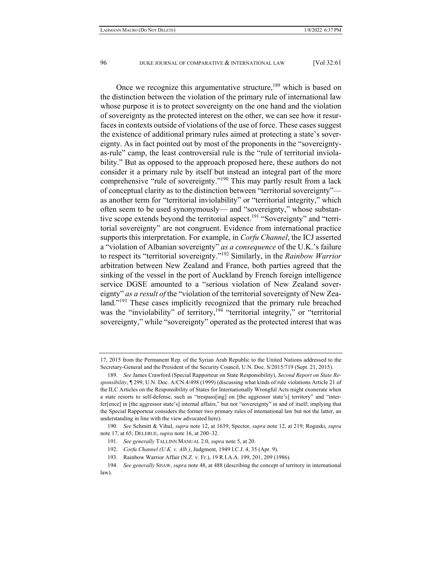Once we recognize this argumentative structure,  $189$  which is based on the distinction between the violation of the primary rule of international law whose purpose it is to protect sovereignty on the one hand and the violation of sovereignty as the protected interest on the other, we can see how it resurfaces in contexts outside of violations of the use of force. These cases suggest the existence of additional primary rules aimed at protecting a state's sovereignty. As in fact pointed out by most of the proponents in the "sovereigntyas-rule" camp, the least controversial rule is the "rule of territorial inviolability." But as opposed to the approach proposed here, these authors do not consider it a primary rule by itself but instead an integral part of the more comprehensive "rule of sovereignty."190 This may partly result from a lack of conceptual clarity as to the distinction between "territorial sovereignty" as another term for "territorial inviolability" or "territorial integrity," which often seem to be used synonymously— and "sovereignty," whose substantive scope extends beyond the territorial aspect.<sup>191</sup> "Sovereignty" and "territorial sovereignty" are not congruent. Evidence from international practice supports this interpretation. For example, in *Corfu Channel*, the ICJ asserted a "violation of Albanian sovereignty" *as a consequence* of the U.K.'s failure to respect its "territorial sovereignty."192 Similarly, in the *Rainbow Warrior* arbitration between New Zealand and France, both parties agreed that the sinking of the vessel in the port of Auckland by French foreign intelligence service DGSE amounted to a "serious violation of New Zealand sovereignty" *as a result of* the "violation of the territorial sovereignty of New Zealand."<sup>193</sup> These cases implicitly recognized that the primary rule breached was the "inviolability" of territory,<sup>194</sup> "territorial integrity," or "territorial sovereignty," while "sovereignty" operated as the protected interest that was

<sup>17, 2015</sup> from the Permanent Rep. of the Syrian Arab Republic to the United Nations addressed to the Secretary-General and the President of the Security Council, U.N. Doc. S/2015/719 (Sept. 21, 2015).

 <sup>189.</sup> *See* James Crawford (Special Rapporteur on State Responsibility), *Second Report on State Responsibility*, ¶ 299, U.N. Doc. A/CN.4/498 (1999) (discussing what kinds of rule violations Article 21 of the ILC Articles on the Responsibility of States for Internationally Wrongful Acts might exonerate when a state resorts to self-defense, such as "trespass[ing] on [the aggressor state's] territory" and "interfer[ence] in [the aggressor state's] internal affairs," but not "sovereignty" in and of itself; implying that the Special Rapporteur considers the former two primary rules of international law but not the latter, an understanding in line with the view advocated here).

 <sup>190.</sup> *See* Schmitt & Vihul, *supra* note 12, at 1639; Spector, *supra* note 12, at 219; Roguski, *supra* note 17, at 65; DELERUE, *supra* note 16, at 200–32.

 <sup>191.</sup> *See generally* TALLINN MANUAL 2.0, *supra* note 5, at 20.

 <sup>192.</sup> *Corfu Channel (U.K. v. Alb.)*, Judgment, 1949 I.C.J. 4, 35 (Apr. 9).

 <sup>193.</sup> Rainbow Warrior Affair (N.Z. v. Fr.), 19 R.I.A.A. 199, 201, 209 (1986).

 <sup>194.</sup> *See generally* SHAW, *supra* note 48, at 488 (describing the concept of territory in international law).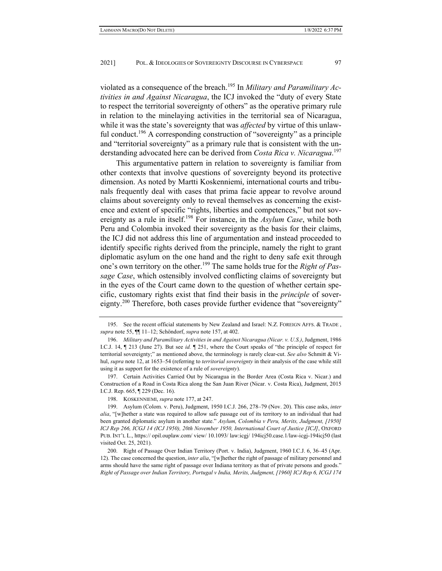violated as a consequence of the breach.195 In *Military and Paramilitary Activities in and Against Nicaragua*, the ICJ invoked the "duty of every State to respect the territorial sovereignty of others" as the operative primary rule in relation to the minelaying activities in the territorial sea of Nicaragua, while it was the state's sovereignty that was *affected* by virtue of this unlawful conduct.<sup>196</sup> A corresponding construction of "sovereignty" as a principle and "territorial sovereignty" as a primary rule that is consistent with the understanding advocated here can be derived from *Costa Rica v. Nicaragua*. 197

This argumentative pattern in relation to sovereignty is familiar from other contexts that involve questions of sovereignty beyond its protective dimension. As noted by Martti Koskenniemi, international courts and tribunals frequently deal with cases that prima facie appear to revolve around claims about sovereignty only to reveal themselves as concerning the existence and extent of specific "rights, liberties and competences," but not sovereignty as a rule in itself.<sup>198</sup> For instance, in the *Asylum Case*, while both Peru and Colombia invoked their sovereignty as the basis for their claims, the ICJ did not address this line of argumentation and instead proceeded to identify specific rights derived from the principle, namely the right to grant diplomatic asylum on the one hand and the right to deny safe exit through one's own territory on the other.199 The same holds true for the *Right of Passage Case*, which ostensibly involved conflicting claims of sovereignty but in the eyes of the Court came down to the question of whether certain specific, customary rights exist that find their basis in the *principle* of sovereignty.<sup>200</sup> Therefore, both cases provide further evidence that "sovereignty"

 197. Certain Activities Carried Out by Nicaragua in the Border Area (Costa Rica v. Nicar.) and Construction of a Road in Costa Rica along the San Juan River (Nicar. v. Costa Rica), Judgment, 2015 I.C.J. Rep. 665, ¶ 229 (Dec. 16).

 <sup>195.</sup> See the recent official statements by New Zealand and Israel: N.Z. FOREIGN AFFS. & TRADE , *supra* note 55, ¶¶ 11–12; Schöndorf, *supra* note 157, at 402.

 <sup>196.</sup> *Military and Paramilitary Activities in and Against Nicaragua (Nicar. v. U.S.)*, Judgment, 1986 I.C.J. 14, ¶ 213 (June 27). But see *id.* ¶ 251, where the Court speaks of "the principle of respect for territorial sovereignty;" as mentioned above, the terminology is rarely clear-cut. *See also* Schmitt & Vihul, *supra* note 12, at 1653–54 (referring to *territorial sovereignty* in their analysis of the case while still using it as support for the existence of a rule of *sovereignty*).

 <sup>198.</sup> KOSKENNIEMI, *supra* note 177, at 247.

 <sup>199.</sup> Asylum (Colom. v. Peru), Judgment, 1950 I.C.J. 266, 278–79 (Nov. 20). This case asks, *inter alia*, "[w]hether a state was required to allow safe passage out of its territory to an individual that had been granted diplomatic asylum in another state." *Asylum, Colombia v Peru, Merits, Judgment, [1950] ICJ Rep 266, ICGJ 14 (ICJ 1950), 20th November 1950, International Court of Justice [ICJ]*, OXFORD PUB. INT'L L., https:// opil.ouplaw.com/ view/ 10.1093/ law:icgj/ 194icj50.case.1/law-icgj-194icj50 (last visited Oct. 25, 2021).

 <sup>200.</sup> Right of Passage Over Indian Territory (Port. v. India), Judgment, 1960 I.C.J. 6, 36–45 (Apr. 12). The case concerned the question, *inter alia*, "[w]hether the right of passage of military personnel and arms should have the same right of passage over Indiana territory as that of private persons and goods." *Right of Passage over Indian Territory, Portugal v India, Merits, Judgment, [1960] ICJ Rep 6, ICGJ 174*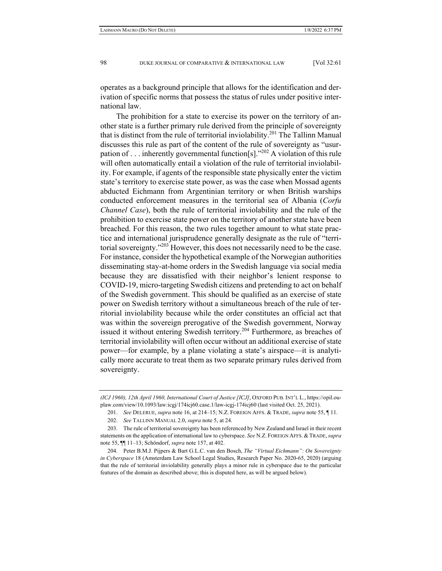operates as a background principle that allows for the identification and derivation of specific norms that possess the status of rules under positive international law.

The prohibition for a state to exercise its power on the territory of another state is a further primary rule derived from the principle of sovereignty that is distinct from the rule of territorial inviolability.<sup>201</sup> The Tallinn Manual discusses this rule as part of the content of the rule of sovereignty as "usurpation of . . . inherently governmental function[s]."202 A violation of this rule will often automatically entail a violation of the rule of territorial inviolability. For example, if agents of the responsible state physically enter the victim state's territory to exercise state power, as was the case when Mossad agents abducted Eichmann from Argentinian territory or when British warships conducted enforcement measures in the territorial sea of Albania (*Corfu Channel Case*), both the rule of territorial inviolability and the rule of the prohibition to exercise state power on the territory of another state have been breached. For this reason, the two rules together amount to what state practice and international jurisprudence generally designate as the rule of "territorial sovereignty."<sup>203</sup> However, this does not necessarily need to be the case. For instance, consider the hypothetical example of the Norwegian authorities disseminating stay-at-home orders in the Swedish language via social media because they are dissatisfied with their neighbor's lenient response to COVID-19, micro-targeting Swedish citizens and pretending to act on behalf of the Swedish government. This should be qualified as an exercise of state power on Swedish territory without a simultaneous breach of the rule of territorial inviolability because while the order constitutes an official act that was within the sovereign prerogative of the Swedish government, Norway issued it without entering Swedish territory.<sup>204</sup> Furthermore, as breaches of territorial inviolability will often occur without an additional exercise of state power—for example, by a plane violating a state's airspace—it is analytically more accurate to treat them as two separate primary rules derived from sovereignty.

*<sup>(</sup>ICJ 1960), 12th April 1960, International Court of Justice [ICJ]*, OXFORD PUB. INT'L L., https://opil.ouplaw.com/view/10.1093/law:icgj/174icj60.case.1/law-icgj-174icj60 (last visited Oct. 25, 2021).

 <sup>201.</sup> *See* DELERUE, *supra* note 16, at 214–15; N.Z. FOREIGN AFFS. & TRADE, *supra* note 55, ¶ 11.

 <sup>202.</sup> *See* TALLINN MANUAL 2.0, *supra* note 5, at 24.

 <sup>203.</sup> The rule of territorial sovereignty has been referenced by New Zealand and Israel in their recent statements on the application of international law to cyberspace. *See* N.Z. FOREIGN AFFS. & TRADE, *supra* note 55, ¶¶ 11–13; Schöndorf, *supra* note 157, at 402.

 <sup>204.</sup> Peter B.M.J. Pijpers & Bart G.L.C. van den Bosch, *The "Virtual Eichmann": On Sovereignty in Cyberspace* 18 (Amsterdam Law School Legal Studies, Research Paper No. 2020-65, 2020) (arguing that the rule of territorial inviolability generally plays a minor rule in cyberspace due to the particular features of the domain as described above; this is disputed here, as will be argued below).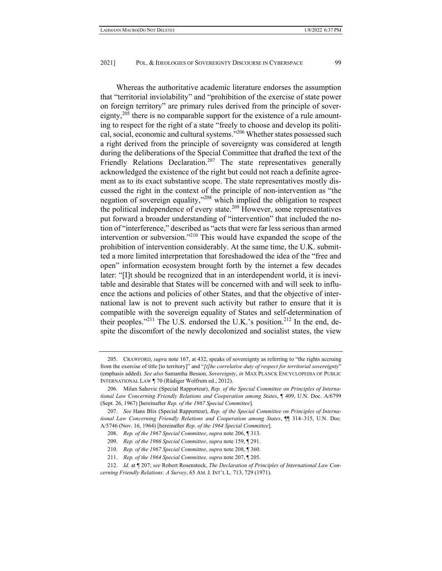Whereas the authoritative academic literature endorses the assumption that "territorial inviolability" and "prohibition of the exercise of state power on foreign territory" are primary rules derived from the principle of sovereignty,<sup>205</sup> there is no comparable support for the existence of a rule amounting to respect for the right of a state "freely to choose and develop its political, social, economic and cultural systems."206 Whether states possessed such a right derived from the principle of sovereignty was considered at length during the deliberations of the Special Committee that drafted the text of the Friendly Relations Declaration.<sup>207</sup> The state representatives generally acknowledged the existence of the right but could not reach a definite agreement as to its exact substantive scope. The state representatives mostly discussed the right in the context of the principle of non-intervention as "the negation of sovereign equality,"208 which implied the obligation to respect the political independence of every state.209 However, some representatives put forward a broader understanding of "intervention" that included the notion of "interference," described as "acts that were far less serious than armed intervention or subversion."210 This would have expanded the scope of the prohibition of intervention considerably. At the same time, the U.K. submitted a more limited interpretation that foreshadowed the idea of the "free and open" information ecosystem brought forth by the internet a few decades later: "[I]t should be recognized that in an interdependent world, it is inevitable and desirable that States will be concerned with and will seek to influence the actions and policies of other States, and that the objective of international law is not to prevent such activity but rather to ensure that it is compatible with the sovereign equality of States and self-determination of

their peoples."<sup>211</sup> The U.S. endorsed the U.K.'s position.<sup>212</sup> In the end, despite the discomfort of the newly decolonized and socialist states, the view

 <sup>205.</sup> CRAWFORD, *supra* note 167, at 432, speaks of sovereignty as referring to "the rights accruing from the exercise of title [to territory]" and "*[t]he correlative duty of respect for territorial sovereignty*" (emphasis added). *See also* Samantha Besson, *Sovereignty*, *in* MAX PLANCK ENCYCLOPEDIA OF PUBLIC INTERNATIONAL LAW ¶ 70 (Rüdiger Wolfrum ed., 2012).

 <sup>206.</sup> Milan Sahovic (Special Rapporteur), *Rep. of the Special Committee on Principles of International Law Concerning Friendly Relations and Cooperation among States*, ¶ 409, U.N. Doc. A/6799 (Sept. 26, 1967) [hereinafter *Rep. of the 1967 Special Committee*].

 <sup>207.</sup> *See* Hans Blix (Special Rapporteur), *Rep. of the Special Committee on Principles of International Law Concerning Friendly Relations and Cooperation among States*, ¶¶ 314–315, U.N. Doc. A/5746 (Nov. 16, 1964) [hereinafter *Rep. of the 1964 Special Committee*].

 <sup>208.</sup> *Rep. of the 1967 Special Committee*, *supra* note 206, ¶ 313.

 <sup>209.</sup> *Rep. of the 1966 Special Committee*, *supra* note 159, ¶ 291.

 <sup>210.</sup> *Rep. of the 1967 Special Committee*, *supra* note 208, ¶ 360.

 <sup>211.</sup> *Rep. of the 1964 Special Committee, supra* note 207, ¶ 205.

 <sup>212.</sup> *Id.* at ¶ 207; *see* Robert Rosenstock, *The Declaration of Principles of International Law Concerning Friendly Relations: A Survey*, 65 AM. J. INT'L L. 713, 729 (1971).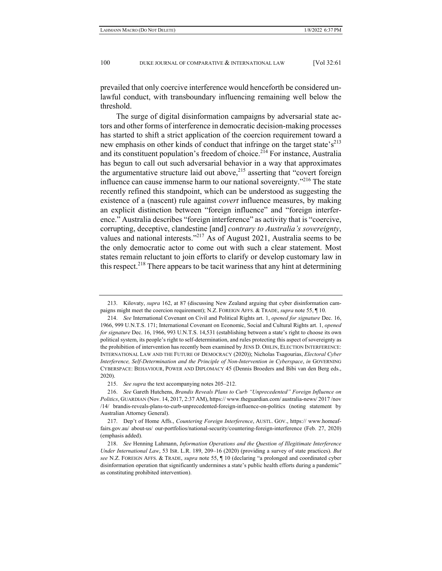prevailed that only coercive interference would henceforth be considered unlawful conduct, with transboundary influencing remaining well below the threshold.

The surge of digital disinformation campaigns by adversarial state actors and other forms of interference in democratic decision-making processes has started to shift a strict application of the coercion requirement toward a new emphasis on other kinds of conduct that infringe on the target state's<sup>213</sup> and its constituent population's freedom of choice.<sup>214</sup> For instance, Australia has begun to call out such adversarial behavior in a way that approximates the argumentative structure laid out above, $215$  asserting that "covert foreign influence can cause immense harm to our national sovereignty."<sup>216</sup> The state recently refined this standpoint, which can be understood as suggesting the existence of a (nascent) rule against *covert* influence measures, by making an explicit distinction between "foreign influence" and "foreign interference." Australia describes "foreign interference" as activity that is "coercive, corrupting, deceptive, clandestine [and] *contrary to Australia's sovereignty*, values and national interests."217 As of August 2021, Australia seems to be the only democratic actor to come out with such a clear statement. Most states remain reluctant to join efforts to clarify or develop customary law in this respect.<sup>218</sup> There appears to be tacit wariness that any hint at determining

 <sup>213.</sup> Kilovaty, *supra* 162, at 87 (discussing New Zealand arguing that cyber disinformation campaigns might meet the coercion requirement); N.Z. FOREIGN AFFS. & TRADE, *supra* note 55, ¶ 10.

 <sup>214.</sup> *See* International Covenant on Civil and Political Rights art. 1, *opened for signature* Dec. 16, 1966, 999 U.N.T.S. 171; International Covenant on Economic, Social and Cultural Rights art. 1, *opened for signature* Dec. 16, 1966, 993 U.N.T.S. 14,531 (establishing between a state's right to choose its own political system, its people's right to self-determination, and rules protecting this aspect of sovereignty as the prohibition of intervention has recently been examined by JENS D. OHLIN, ELECTION INTERFERENCE: INTERNATIONAL LAW AND THE FUTURE OF DEMOCRACY (2020)); Nicholas Tsagourias, *Electoral Cyber Interference, Self-Determination and the Principle of Non-Intervention in Cyberspace*, *in* GOVERNING CYBERSPACE: BEHAVIOUR, POWER AND DIPLOMACY 45 (Dennis Broeders and Bibi van den Berg eds., 2020).

 <sup>215.</sup> *See supra* the text accompanying notes 205–212.

 <sup>216.</sup> *See* Gareth Hutchens, *Brandis Reveals Plans to Curb "Unprecedented" Foreign Influence on Politics*, GUARDIAN (Nov. 14, 2017, 2:37 AM), https:// www.theguardian.com/ australia-news/ 2017 /nov /14/ brandis-reveals-plans-to-curb-unprecedented-foreign-influence-on-politics (noting statement by Australian Attorney General).

 <sup>217.</sup> Dep't of Home Affs., *Countering Foreign Interference*, AUSTL. GOV., https:// www.homeaffairs.gov.au/ about-us/ our-portfolios/national-security/countering-foreign-interference (Feb. 27, 2020) (emphasis added).

 <sup>218.</sup> *See* Henning Lahmann, *Information Operations and the Question of Illegitimate Interference Under International Law*, 53 ISR. L.R. 189, 209–16 (2020) (providing a survey of state practices). *But see* N.Z. FOREIGN AFFS. & TRADE, *supra* note 55, ¶ 10 (declaring "a prolonged and coordinated cyber disinformation operation that significantly undermines a state's public health efforts during a pandemic" as constituting prohibited intervention).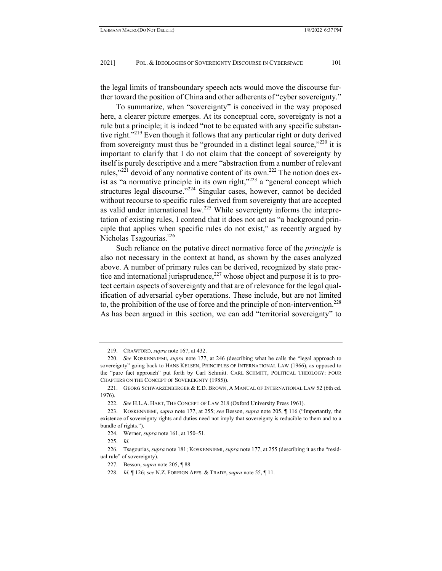the legal limits of transboundary speech acts would move the discourse further toward the position of China and other adherents of "cyber sovereignty."

To summarize, when "sovereignty" is conceived in the way proposed here, a clearer picture emerges. At its conceptual core, sovereignty is not a rule but a principle; it is indeed "not to be equated with any specific substantive right."<sup>219</sup> Even though it follows that any particular right or duty derived from sovereignty must thus be "grounded in a distinct legal source," $^{220}$  it is important to clarify that I do not claim that the concept of sovereignty by itself is purely descriptive and a mere "abstraction from a number of relevant rules,"221 devoid of any normative content of its own.222 The notion does exist as "a normative principle in its own right, $v^{223}$  a "general concept which structures legal discourse."<sup>224</sup> Singular cases, however, cannot be decided without recourse to specific rules derived from sovereignty that are accepted as valid under international law.225 While sovereignty informs the interpretation of existing rules, I contend that it does not act as "a background principle that applies when specific rules do not exist," as recently argued by Nicholas Tsagourias.<sup>226</sup>

Such reliance on the putative direct normative force of the *principle* is also not necessary in the context at hand, as shown by the cases analyzed above. A number of primary rules can be derived, recognized by state practice and international jurisprudence,  $227$  whose object and purpose it is to protect certain aspects of sovereignty and that are of relevance for the legal qualification of adversarial cyber operations. These include, but are not limited to, the prohibition of the use of force and the principle of non-intervention.<sup>228</sup> As has been argued in this section, we can add "territorial sovereignty" to

 <sup>219.</sup> CRAWFORD, *supra* note 167, at 432.

 <sup>220.</sup> *See* KOSKENNIEMI, *supra* note 177, at 246 (describing what he calls the "legal approach to sovereignty" going back to HANS KELSEN, PRINCIPLES OF INTERNATIONAL LAW (1966), as opposed to the "pure fact approach" put forth by Carl Schmitt. CARL SCHMITT, POLITICAL THEOLOGY: FOUR CHAPTERS ON THE CONCEPT OF SOVEREIGNTY (1985)).

<sup>221.</sup> GEORG SCHWARZENBERGER & E.D. BROWN, A MANUAL OF INTERNATIONAL LAW 52 (6th ed. 1976).

 <sup>222.</sup> *See* H.L.A. HART, THE CONCEPT OF LAW 218 (Oxford University Press 1961).

 <sup>223.</sup> KOSKENNIEMI, *supra* note 177, at 255; *see* Besson, *supra* note 205, ¶ 116 ("Importantly, the existence of sovereignty rights and duties need not imply that sovereignty is reducible to them and to a bundle of rights.").

 <sup>224.</sup> Werner, *supra* note 161, at 150–51.

 <sup>225.</sup> *Id.*

 <sup>226.</sup> Tsagourias, *supra* note 181; KOSKENNIEMI, *supra* note 177, at 255 (describing it as the "residual rule" of sovereignty).

 <sup>227.</sup> Besson, *supra* note 205, ¶ 88.

 <sup>228.</sup> *Id.* ¶ 126; *see* N.Z. FOREIGN AFFS. & TRADE, *supra* note 55, ¶ 11.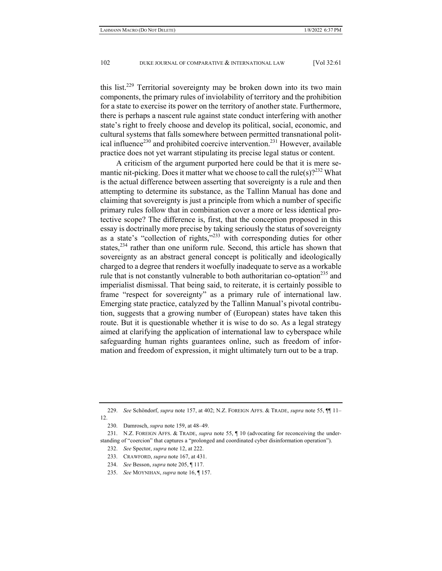this list.<sup>229</sup> Territorial sovereignty may be broken down into its two main components, the primary rules of inviolability of territory and the prohibition for a state to exercise its power on the territory of another state. Furthermore, there is perhaps a nascent rule against state conduct interfering with another state's right to freely choose and develop its political, social, economic, and cultural systems that falls somewhere between permitted transnational political influence<sup>230</sup> and prohibited coercive intervention.<sup>231</sup> However, available practice does not yet warrant stipulating its precise legal status or content.

A criticism of the argument purported here could be that it is mere semantic nit-picking. Does it matter what we choose to call the rule(s)?<sup>232</sup> What is the actual difference between asserting that sovereignty is a rule and then attempting to determine its substance, as the Tallinn Manual has done and claiming that sovereignty is just a principle from which a number of specific primary rules follow that in combination cover a more or less identical protective scope? The difference is, first, that the conception proposed in this essay is doctrinally more precise by taking seriously the status of sovereignty as a state's "collection of rights,"233 with corresponding duties for other states,<sup>234</sup> rather than one uniform rule. Second, this article has shown that sovereignty as an abstract general concept is politically and ideologically charged to a degree that renders it woefully inadequate to serve as a workable rule that is not constantly vulnerable to both authoritarian co-optation<sup>235</sup> and imperialist dismissal. That being said, to reiterate, it is certainly possible to frame "respect for sovereignty" as a primary rule of international law. Emerging state practice, catalyzed by the Tallinn Manual's pivotal contribution, suggests that a growing number of (European) states have taken this route. But it is questionable whether it is wise to do so. As a legal strategy aimed at clarifying the application of international law to cyberspace while safeguarding human rights guarantees online, such as freedom of information and freedom of expression, it might ultimately turn out to be a trap.

 <sup>229.</sup> *See* Schöndorf, *supra* note 157, at 402; N.Z. FOREIGN AFFS. & TRADE, *supra* note 55, ¶¶ 11– 12.

 <sup>230.</sup> Damrosch, *supra* note 159, at 48–49.

 <sup>231.</sup> N.Z. FOREIGN AFFS. & TRADE, *supra* note 55, ¶ 10 (advocating for reconceiving the understanding of "coercion" that captures a "prolonged and coordinated cyber disinformation operation").

 <sup>232.</sup> *See* Spector, *supra* note 12, at 222.

 <sup>233.</sup> CRAWFORD, *supra* note 167, at 431.

 <sup>234.</sup> *See* Besson, *supra* note 205, ¶ 117.

 <sup>235.</sup> *See* MOYNIHAN, *supra* note 16, ¶ 157.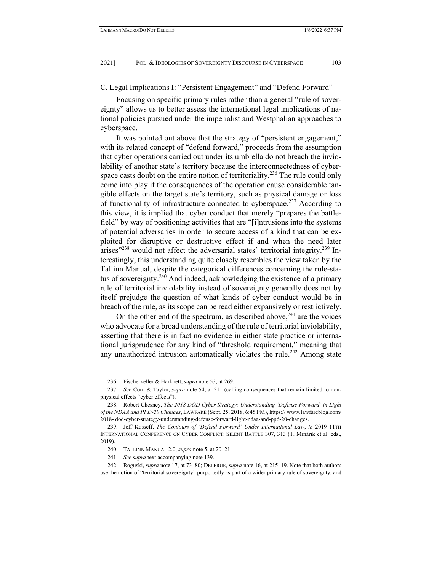C. Legal Implications I: "Persistent Engagement" and "Defend Forward"

Focusing on specific primary rules rather than a general "rule of sovereignty" allows us to better assess the international legal implications of national policies pursued under the imperialist and Westphalian approaches to cyberspace.

It was pointed out above that the strategy of "persistent engagement," with its related concept of "defend forward," proceeds from the assumption that cyber operations carried out under its umbrella do not breach the inviolability of another state's territory because the interconnectedness of cyberspace casts doubt on the entire notion of territoriality.<sup>236</sup> The rule could only come into play if the consequences of the operation cause considerable tangible effects on the target state's territory, such as physical damage or loss of functionality of infrastructure connected to cyberspace.237 According to this view, it is implied that cyber conduct that merely "prepares the battlefield" by way of positioning activities that are "[i]ntrusions into the systems of potential adversaries in order to secure access of a kind that can be exploited for disruptive or destructive effect if and when the need later arises"<sup>238</sup> would not affect the adversarial states' territorial integrity.<sup>239</sup> Interestingly, this understanding quite closely resembles the view taken by the Tallinn Manual, despite the categorical differences concerning the rule-status of sovereignty.<sup>240</sup> And indeed, acknowledging the existence of a primary rule of territorial inviolability instead of sovereignty generally does not by itself prejudge the question of what kinds of cyber conduct would be in breach of the rule, as its scope can be read either expansively or restrictively.

On the other end of the spectrum, as described above,  $241$  are the voices who advocate for a broad understanding of the rule of territorial inviolability, asserting that there is in fact no evidence in either state practice or international jurisprudence for any kind of "threshold requirement," meaning that any unauthorized intrusion automatically violates the rule.<sup>242</sup> Among state

 <sup>236.</sup> Fischerkeller & Harknett, *supra* note 53, at 269.

 <sup>237.</sup> *See* Corn & Taylor, *supra* note 54, at 211 (calling consequences that remain limited to nonphysical effects "cyber effects").

 <sup>238.</sup> Robert Chesney, *The 2018 DOD Cyber Strategy: Understanding 'Defense Forward' in Light of the NDAA and PPD-20 Changes*, LAWFARE (Sept. 25, 2018, 6:45 PM), https:// www.lawfareblog.com/ 2018- dod-cyber-strategy-understanding-defense-forward-light-ndaa-and-ppd-20-changes.

 <sup>239.</sup> Jeff Kosseff, *The Contours of 'Defend Forward' Under International Law*, *in* 2019 11TH INTERNATIONAL CONFERENCE ON CYBER CONFLICT: SILENT BATTLE 307, 313 (T. Minárik et al. eds., 2019).

 <sup>240.</sup> TALLINN MANUAL 2.0, *supra* note 5, at 20–21.

 <sup>241.</sup> *See supra* text accompanying note 139.

 <sup>242.</sup> Roguski, *supra* note 17, at 73–80; DELERUE, *supra* note 16, at 215–19. Note that both authors use the notion of "territorial sovereignty" purportedly as part of a wider primary rule of sovereignty, and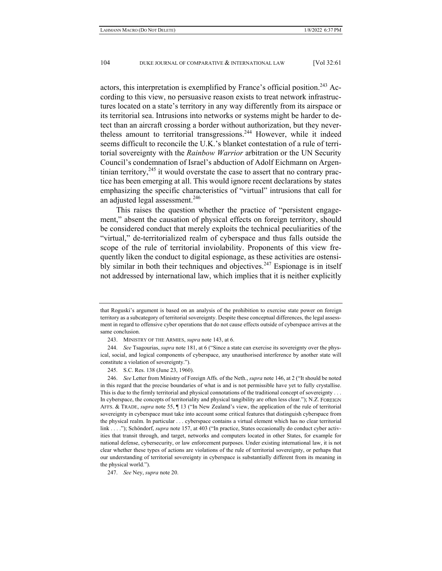actors, this interpretation is exemplified by France's official position.<sup>243</sup> According to this view, no persuasive reason exists to treat network infrastructures located on a state's territory in any way differently from its airspace or its territorial sea. Intrusions into networks or systems might be harder to detect than an aircraft crossing a border without authorization, but they nevertheless amount to territorial transgressions.<sup>244</sup> However, while it indeed seems difficult to reconcile the U.K.'s blanket contestation of a rule of territorial sovereignty with the *Rainbow Warrior* arbitration or the UN Security Council's condemnation of Israel's abduction of Adolf Eichmann on Argentinian territory,  $245$  it would overstate the case to assert that no contrary practice has been emerging at all. This would ignore recent declarations by states emphasizing the specific characteristics of "virtual" intrusions that call for an adjusted legal assessment.<sup>246</sup>

This raises the question whether the practice of "persistent engagement," absent the causation of physical effects on foreign territory, should be considered conduct that merely exploits the technical peculiarities of the "virtual," de-territorialized realm of cyberspace and thus falls outside the scope of the rule of territorial inviolability. Proponents of this view frequently liken the conduct to digital espionage, as these activities are ostensibly similar in both their techniques and objectives.<sup>247</sup> Espionage is in itself not addressed by international law, which implies that it is neither explicitly

that Roguski's argument is based on an analysis of the prohibition to exercise state power on foreign territory as a subcategory of territorial sovereignty. Despite these conceptual differences, the legal assessment in regard to offensive cyber operations that do not cause effects outside of cyberspace arrives at the same conclusion.

 <sup>243.</sup> MINISTRY OF THE ARMIES, *supra* note 143, at 6.

 <sup>244.</sup> *See* Tsagourias, *supra* note 181, at 6 ("Since a state can exercise its sovereignty over the physical, social, and logical components of cyberspace, any unauthorised interference by another state will constitute a violation of sovereignty.").

 <sup>245.</sup> S.C. Res. 138 (June 23, 1960).

 <sup>246.</sup> *See* Letter from Ministry of Foreign Affs. of the Neth., *supra* note 146, at 2 ("It should be noted in this regard that the precise boundaries of what is and is not permissible have yet to fully crystallise. This is due to the firmly territorial and physical connotations of the traditional concept of sovereignty . . . In cyberspace, the concepts of territoriality and physical tangibility are often less clear."); N.Z. FOREIGN AFFS. & TRADE, *supra* note 55, ¶ 13 ("In New Zealand's view, the application of the rule of territorial sovereignty in cyberspace must take into account some critical features that distinguish cyberspace from the physical realm. In particular . . . cyberspace contains a virtual element which has no clear territorial link . . . ."); Schöndorf, *supra* note 157, at 403 ("In practice, States occasionally do conduct cyber activities that transit through, and target, networks and computers located in other States, for example for national defense, cybersecurity, or law enforcement purposes. Under existing international law, it is not clear whether these types of actions are violations of the rule of territorial sovereignty, or perhaps that our understanding of territorial sovereignty in cyberspace is substantially different from its meaning in the physical world.").

 <sup>247.</sup> *See* Ney, *supra* note 20.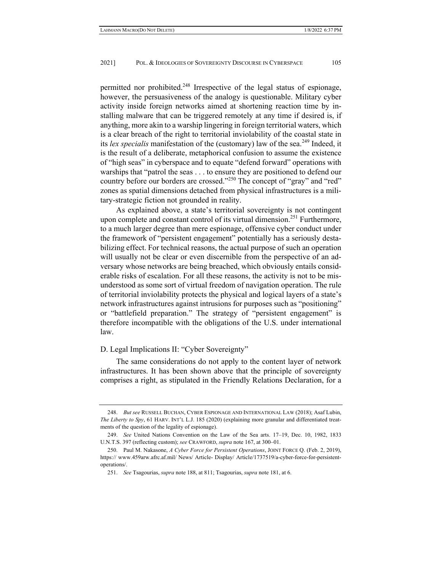permitted nor prohibited.248 Irrespective of the legal status of espionage, however, the persuasiveness of the analogy is questionable. Military cyber activity inside foreign networks aimed at shortening reaction time by installing malware that can be triggered remotely at any time if desired is, if anything, more akin to a warship lingering in foreign territorial waters, which is a clear breach of the right to territorial inviolability of the coastal state in its *lex specialis* manifestation of the (customary) law of the sea.<sup>249</sup> Indeed, it is the result of a deliberate, metaphorical confusion to assume the existence of "high seas" in cyberspace and to equate "defend forward" operations with warships that "patrol the seas . . . to ensure they are positioned to defend our country before our borders are crossed."<sup>250</sup> The concept of "gray" and "red" zones as spatial dimensions detached from physical infrastructures is a military-strategic fiction not grounded in reality.

As explained above, a state's territorial sovereignty is not contingent upon complete and constant control of its virtual dimension.<sup>251</sup> Furthermore, to a much larger degree than mere espionage, offensive cyber conduct under the framework of "persistent engagement" potentially has a seriously destabilizing effect. For technical reasons, the actual purpose of such an operation will usually not be clear or even discernible from the perspective of an adversary whose networks are being breached, which obviously entails considerable risks of escalation. For all these reasons, the activity is not to be misunderstood as some sort of virtual freedom of navigation operation. The rule of territorial inviolability protects the physical and logical layers of a state's network infrastructures against intrusions for purposes such as "positioning" or "battlefield preparation." The strategy of "persistent engagement" is therefore incompatible with the obligations of the U.S. under international law.

## D. Legal Implications II: "Cyber Sovereignty"

The same considerations do not apply to the content layer of network infrastructures. It has been shown above that the principle of sovereignty comprises a right, as stipulated in the Friendly Relations Declaration, for a

 <sup>248.</sup> *But see* RUSSELL BUCHAN, CYBER ESPIONAGE AND INTERNATIONAL LAW (2018); Asaf Lubin, *The Liberty to Spy*, 61 HARV. INT'L L.J. 185 (2020) (explaining more granular and differentiated treatments of the question of the legality of espionage).

 <sup>249.</sup> *See* United Nations Convention on the Law of the Sea arts. 17–19, Dec. 10, 1982, 1833 U.N.T.S. 397 (reflecting custom); *see* CRAWFORD, *supra* note 167, at 300–01.

 <sup>250.</sup> Paul M. Nakasone, *A Cyber Force for Persistent Operations*, JOINT FORCE Q. (Feb. 2, 2019), https:// www.459arw.afrc.af.mil/ News/ Article- Display/ Article/1737519/a-cyber-force-for-persistentoperations/.

 <sup>251.</sup> *See* Tsagourias, *supra* note 188, at 811; Tsagourias, *supra* note 181, at 6.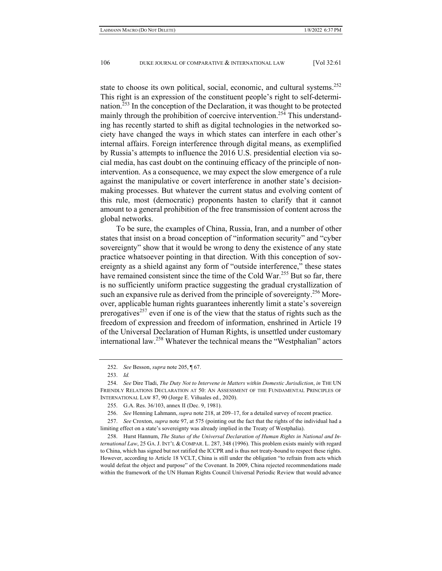state to choose its own political, social, economic, and cultural systems.<sup>252</sup> This right is an expression of the constituent people's right to self-determination.<sup>253</sup> In the conception of the Declaration, it was thought to be protected mainly through the prohibition of coercive intervention.<sup>254</sup> This understanding has recently started to shift as digital technologies in the networked society have changed the ways in which states can interfere in each other's internal affairs. Foreign interference through digital means, as exemplified by Russia's attempts to influence the 2016 U.S. presidential election via social media, has cast doubt on the continuing efficacy of the principle of nonintervention. As a consequence, we may expect the slow emergence of a rule against the manipulative or covert interference in another state's decisionmaking processes. But whatever the current status and evolving content of this rule, most (democratic) proponents hasten to clarify that it cannot amount to a general prohibition of the free transmission of content across the global networks.

To be sure, the examples of China, Russia, Iran, and a number of other states that insist on a broad conception of "information security" and "cyber sovereignty" show that it would be wrong to deny the existence of any state practice whatsoever pointing in that direction. With this conception of sovereignty as a shield against any form of "outside interference," these states have remained consistent since the time of the Cold War.<sup>255</sup> But so far, there is no sufficiently uniform practice suggesting the gradual crystallization of such an expansive rule as derived from the principle of sovereignty.<sup>256</sup> Moreover, applicable human rights guarantees inherently limit a state's sovereign prerogatives<sup>257</sup> even if one is of the view that the status of rights such as the freedom of expression and freedom of information, enshrined in Article 19 of the Universal Declaration of Human Rights, is unsettled under customary international law.258 Whatever the technical means the "Westphalian" actors

 258. Hurst Hannum, *The Status of the Universal Declaration of Human Rights in National and International Law*, 25 GA.J. INT'L & COMPAR. L. 287, 348 (1996). This problem exists mainly with regard to China, which has signed but not ratified the ICCPR and is thus not treaty-bound to respect these rights. However, according to Article 18 VCLT, China is still under the obligation "to refrain from acts which would defeat the object and purpose" of the Covenant. In 2009, China rejected recommendations made within the framework of the UN Human Rights Council Universal Periodic Review that would advance

 <sup>252.</sup> *See* Besson, *supra* note 205, ¶ 67.

 <sup>253.</sup> *Id.*

 <sup>254.</sup> *See* Dire Tladi, *The Duty Not to Intervene in Matters within Domestic Jurisdiction*, *in* THE UN FRIENDLY RELATIONS DECLARATION AT 50: AN ASSESSMENT OF THE FUNDAMENTAL PRINCIPLES OF INTERNATIONAL LAW 87, 90 (Jorge E. Viñuales ed., 2020).

 <sup>255.</sup> G.A. Res. 36/103, annex II (Dec. 9, 1981).

 <sup>256.</sup> *See* Henning Lahmann, *supra* note 218, at 209–17, for a detailed survey of recent practice.

 <sup>257.</sup> *See* Croxton, *supra* note 97, at 575 (pointing out the fact that the rights of the individual had a limiting effect on a state's sovereignty was already implied in the Treaty of Westphalia).